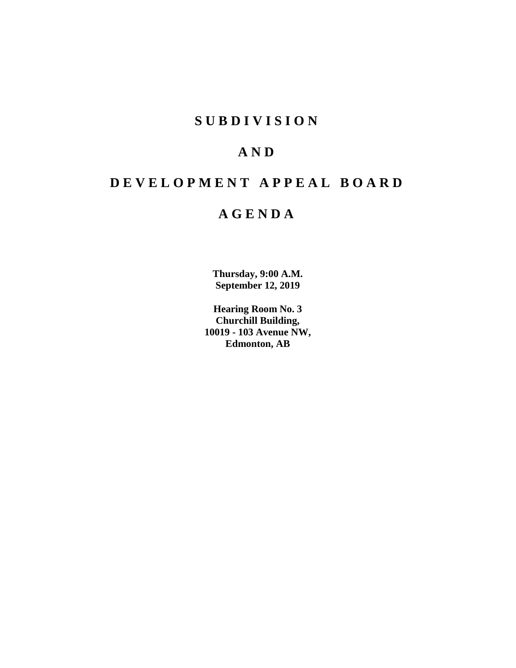# **SUBDIVISION**

# **AND**

# **DEVELOPMENT APPEAL BOARD**

# **AGENDA**

**Thursday, 9:00 A.M. September 12, 2019**

**Hearing Room No. 3 Churchill Building, 10019 - 103 Avenue NW, Edmonton, AB**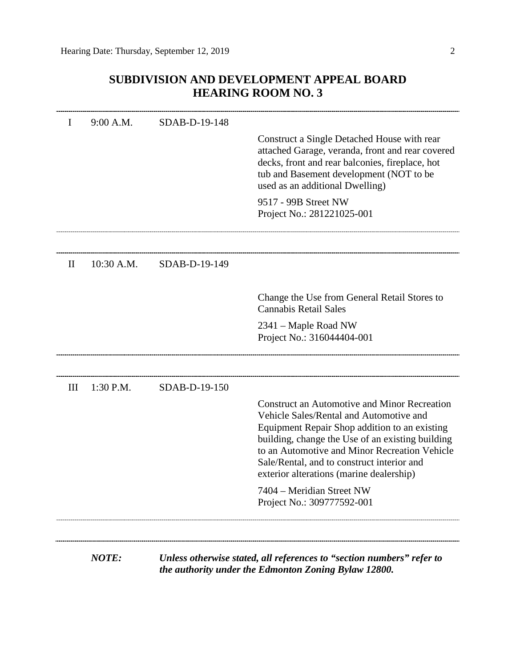# **SUBDIVISION AND DEVELOPMENT APPEAL BOARD HEARING ROOM NO. 3**

| I        | 9:00 A.M.    | SDAB-D-19-148 |                                                                                                                                                                                                                                                                                                                                                |
|----------|--------------|---------------|------------------------------------------------------------------------------------------------------------------------------------------------------------------------------------------------------------------------------------------------------------------------------------------------------------------------------------------------|
|          |              |               | Construct a Single Detached House with rear<br>attached Garage, veranda, front and rear covered<br>decks, front and rear balconies, fireplace, hot<br>tub and Basement development (NOT to be<br>used as an additional Dwelling)                                                                                                               |
|          |              |               | 9517 - 99B Street NW<br>Project No.: 281221025-001                                                                                                                                                                                                                                                                                             |
|          |              |               |                                                                                                                                                                                                                                                                                                                                                |
| $\rm II$ | 10:30 A.M.   | SDAB-D-19-149 |                                                                                                                                                                                                                                                                                                                                                |
|          |              |               | Change the Use from General Retail Stores to<br><b>Cannabis Retail Sales</b>                                                                                                                                                                                                                                                                   |
|          |              |               | 2341 – Maple Road NW<br>Project No.: 316044404-001                                                                                                                                                                                                                                                                                             |
|          |              |               |                                                                                                                                                                                                                                                                                                                                                |
| III      | 1:30 P.M.    | SDAB-D-19-150 |                                                                                                                                                                                                                                                                                                                                                |
|          |              |               | <b>Construct an Automotive and Minor Recreation</b><br>Vehicle Sales/Rental and Automotive and<br>Equipment Repair Shop addition to an existing<br>building, change the Use of an existing building<br>to an Automotive and Minor Recreation Vehicle<br>Sale/Rental, and to construct interior and<br>exterior alterations (marine dealership) |
|          |              |               | 7404 – Meridian Street NW<br>Project No.: 309777592-001                                                                                                                                                                                                                                                                                        |
|          |              |               |                                                                                                                                                                                                                                                                                                                                                |
|          | <b>NOTE:</b> |               | Unless otherwise stated, all references to "section numbers" refer to<br>the authority under the Edmonton Zoning Bylaw 12800.                                                                                                                                                                                                                  |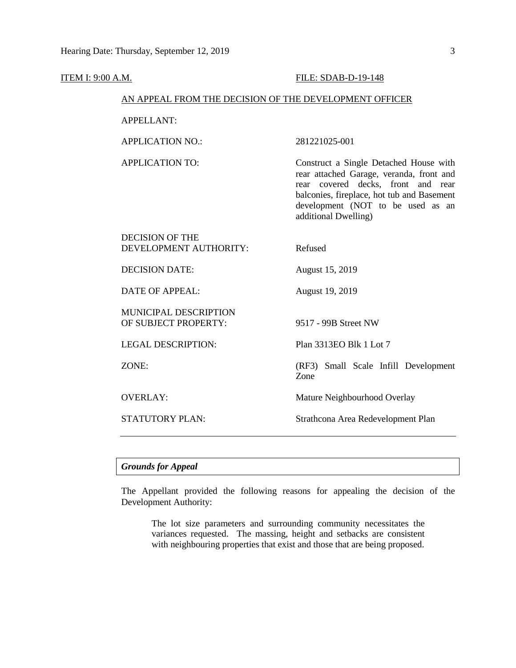#### **ITEM I: 9:00 A.M. FILE: SDAB-D-19-148**

## AN APPEAL FROM THE DECISION OF THE DEVELOPMENT OFFICER

APPELLANT:

APPLICATION NO.: 281221025-001

APPLICATION TO: Construct a Single Detached House with rear attached Garage, veranda, front and rear covered decks, front and rear balconies, fireplace, hot tub and Basement development (NOT to be used as an additional Dwelling)

| DECISION OF THE<br>DEVELOPMENT AUTHORITY:            | Refused                                      |
|------------------------------------------------------|----------------------------------------------|
| <b>DECISION DATE:</b>                                | August 15, 2019                              |
| DATE OF APPEAL:                                      | August 19, 2019                              |
| <b>MUNICIPAL DESCRIPTION</b><br>OF SUBJECT PROPERTY: | 9517 - 99B Street NW                         |
| <b>LEGAL DESCRIPTION:</b>                            | Plan 3313EO Blk 1 Lot 7                      |
| ZONE:                                                | (RF3) Small Scale Infill Development<br>Zone |
| <b>OVERLAY:</b>                                      | Mature Neighbourhood Overlay                 |
| STATUTORY PLAN:                                      | Strathcona Area Redevelopment Plan           |

## *Grounds for Appeal*

The Appellant provided the following reasons for appealing the decision of the Development Authority:

The lot size parameters and surrounding community necessitates the variances requested. The massing, height and setbacks are consistent with neighbouring properties that exist and those that are being proposed.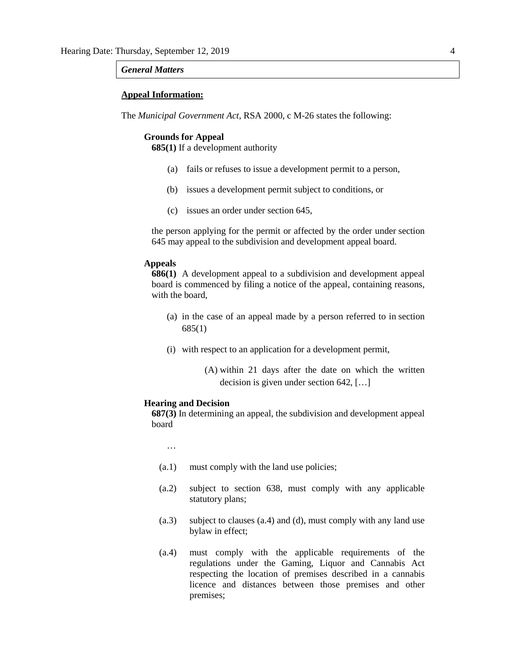## *General Matters*

## **Appeal Information:**

The *Municipal Government Act*, RSA 2000, c M-26 states the following:

#### **Grounds for Appeal**

**685(1)** If a development authority

- (a) fails or refuses to issue a development permit to a person,
- (b) issues a development permit subject to conditions, or
- (c) issues an order under section 645,

the person applying for the permit or affected by the order under section 645 may appeal to the subdivision and development appeal board.

## **Appeals**

**686(1)** A development appeal to a subdivision and development appeal board is commenced by filing a notice of the appeal, containing reasons, with the board,

- (a) in the case of an appeal made by a person referred to in section 685(1)
- (i) with respect to an application for a development permit,
	- (A) within 21 days after the date on which the written decision is given under section 642, […]

## **Hearing and Decision**

**687(3)** In determining an appeal, the subdivision and development appeal board

…

- (a.1) must comply with the land use policies;
- (a.2) subject to section 638, must comply with any applicable statutory plans;
- (a.3) subject to clauses (a.4) and (d), must comply with any land use bylaw in effect;
- (a.4) must comply with the applicable requirements of the regulations under the Gaming, Liquor and Cannabis Act respecting the location of premises described in a cannabis licence and distances between those premises and other premises;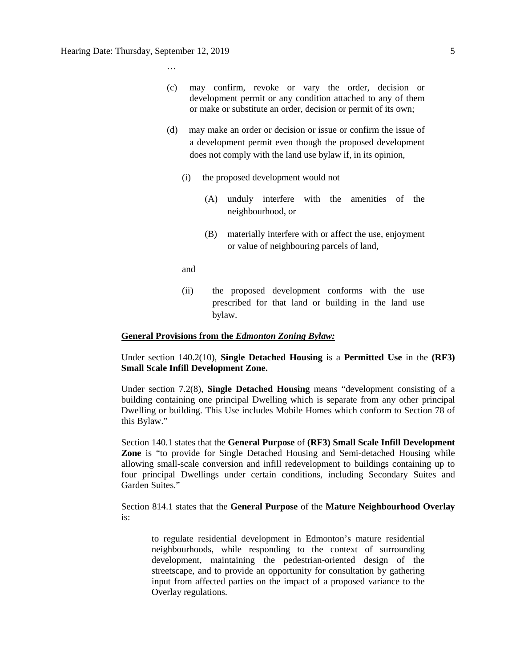…

- (c) may confirm, revoke or vary the order, decision or development permit or any condition attached to any of them or make or substitute an order, decision or permit of its own;
- (d) may make an order or decision or issue or confirm the issue of a development permit even though the proposed development does not comply with the land use bylaw if, in its opinion,
	- (i) the proposed development would not
		- (A) unduly interfere with the amenities of the neighbourhood, or
		- (B) materially interfere with or affect the use, enjoyment or value of neighbouring parcels of land,
	- and
	- (ii) the proposed development conforms with the use prescribed for that land or building in the land use bylaw.

## **General Provisions from the** *Edmonton Zoning Bylaw:*

## Under section 140.2(10), **Single Detached Housing** is a **Permitted Use** in the **(RF3) Small Scale Infill Development Zone.**

Under section 7.2(8), **Single Detached Housing** means "development consisting of a building containing one principal Dwelling which is separate from any other principal Dwelling or building. This Use includes Mobile Homes which conform to Section 78 of this Bylaw."

Section 140.1 states that the **General Purpose** of **(RF3) Small Scale Infill Development Zone** is "to provide for Single Detached Housing and Semi-detached Housing while allowing small-scale conversion and infill redevelopment to buildings containing up to four principal Dwellings under certain conditions, including Secondary Suites and Garden Suites."

Section 814.1 states that the **General Purpose** of the **Mature Neighbourhood Overlay** is:

to regulate residential development in Edmonton's mature residential neighbourhoods, while responding to the context of surrounding development, maintaining the pedestrian-oriented design of the streetscape, and to provide an opportunity for consultation by gathering input from affected parties on the impact of a proposed variance to the Overlay regulations.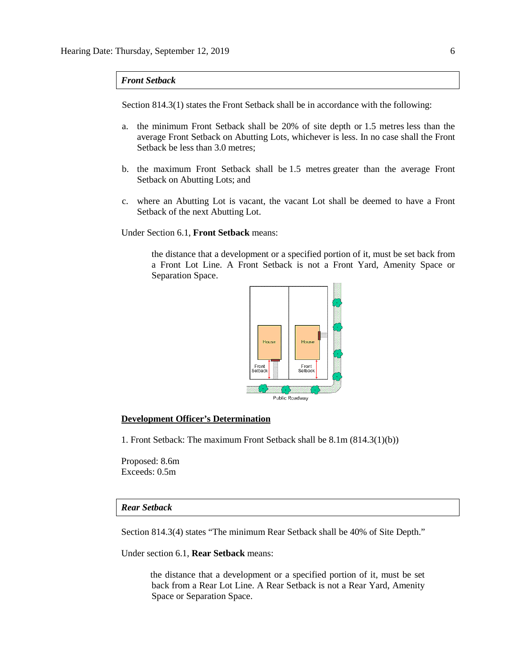## *Front Setback*

Section 814.3(1) states the Front Setback shall be in accordance with the following:

- a. the minimum Front Setback shall be 20% of site depth or [1.5 me](javascript:void(0);)tres less than the average Front Setback on Abutting Lots, whichever is less. In no case shall the Front Setback be less than [3.0 me](javascript:void(0);)tres;
- b. the maximum Front Setback shall be [1.5 me](javascript:void(0);)tres greater than the average Front Setback on Abutting Lots; and
- c. where an Abutting Lot is vacant, the vacant Lot shall be deemed to have a Front Setback of the next Abutting Lot.

Under Section 6.1, **Front Setback** means:

the distance that a development or a specified portion of it, must be set back from a Front Lot Line. A Front Setback is not a Front Yard, Amenity Space or Separation Space.



### **Development Officer's Determination**

1. Front Setback: The maximum Front Setback shall be 8.1m (814.3(1)(b))

Proposed: 8.6m Exceeds: 0.5m

## *Rear Setback*

Section 814.3(4) states "The minimum Rear Setback shall be 40% of Site Depth."

Under section 6.1, **Rear Setback** means:

the distance that a development or a specified portion of it, must be set back from a Rear Lot Line. A Rear Setback is not a Rear Yard, Amenity Space or Separation Space.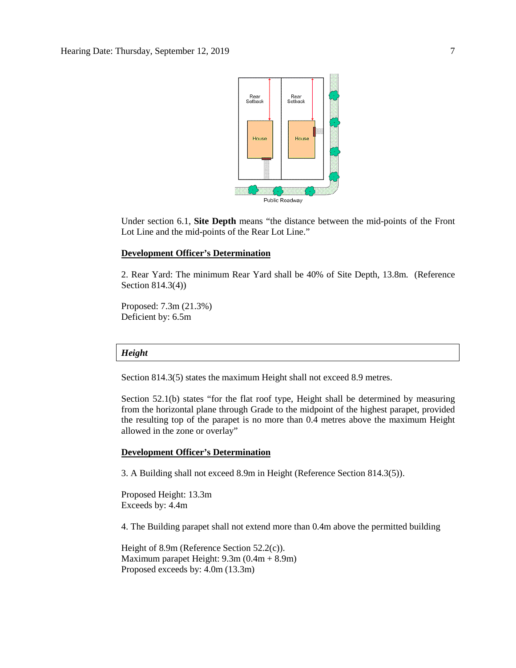

Under section 6.1, **Site Depth** means "the distance between the mid-points of the Front Lot Line and the mid-points of the Rear Lot Line."

### **Development Officer's Determination**

2. Rear Yard: The minimum Rear Yard shall be 40% of Site Depth, 13.8m. (Reference Section 814.3(4))

Proposed: 7.3m (21.3%) Deficient by: 6.5m

## *Height*

Section 814.3(5) states the maximum Height shall not exceed 8.9 metres.

Section 52.1(b) states "for the flat roof type, Height shall be determined by measuring from the horizontal plane through Grade to the midpoint of the highest parapet, provided the resulting top of the parapet is no more than 0.4 metres above the maximum Height allowed in the zone or overlay"

## **Development Officer's Determination**

3. A Building shall not exceed 8.9m in Height (Reference Section 814.3(5)).

Proposed Height: 13.3m Exceeds by: 4.4m

4. The Building parapet shall not extend more than 0.4m above the permitted building

Height of 8.9m (Reference Section 52.2(c)). Maximum parapet Height: 9.3m (0.4m + 8.9m) Proposed exceeds by: 4.0m (13.3m)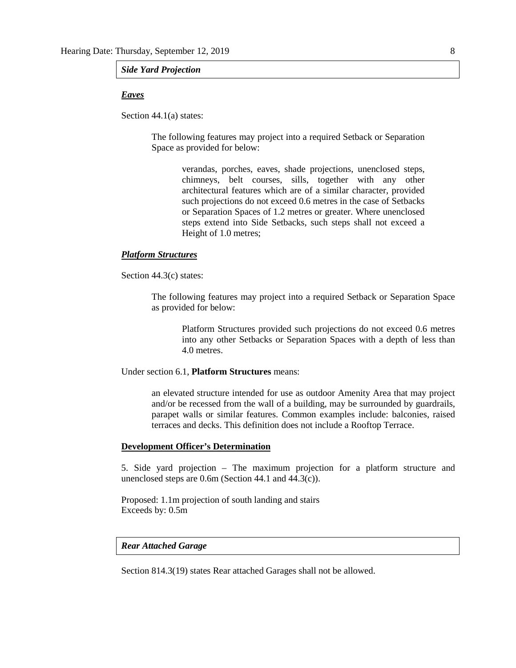#### *Side Yard Projection*

## *Eaves*

Section 44.1(a) states:

The following features may project into a required Setback or Separation Space as provided for below:

> verandas, porches, eaves, shade projections, unenclosed steps, chimneys, belt courses, sills, together with any other architectural features which are of a similar character, provided such projections do not exceed [0.6 me](javascript:void(0);)tres in the case of Setbacks or Separation Spaces of [1.2 me](javascript:void(0);)tres or greater. Where unenclosed steps extend into Side Setbacks, such steps shall not exceed a Height of [1.0 me](javascript:void(0);)tres;

## *Platform Structures*

Section 44.3(c) states:

The following features may project into a required Setback or Separation Space as provided for below:

Platform Structures provided such projections do not exceed 0.6 metres into any other Setbacks or Separation Spaces with a depth of less than 4.0 metres.

Under section 6.1, **Platform Structures** means:

an elevated structure intended for use as outdoor Amenity Area that may project and/or be recessed from the wall of a building, may be surrounded by guardrails, parapet walls or similar features. Common examples include: balconies, raised terraces and decks. This definition does not include a Rooftop Terrace.

## **Development Officer's Determination**

5. Side yard projection – The maximum projection for a platform structure and unenclosed steps are 0.6m (Section 44.1 and 44.3(c)).

Proposed: 1.1m projection of south landing and stairs Exceeds by: 0.5m

## *Rear Attached Garage*

Section 814.3(19) states Rear attached Garages shall not be allowed.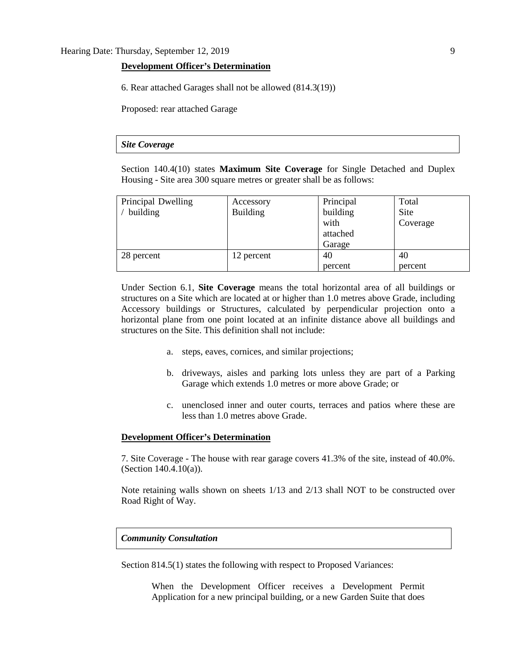## **Development Officer's Determination**

6. Rear attached Garages shall not be allowed (814.3(19))

Proposed: rear attached Garage

## *Site Coverage*

Section 140.4(10) states **Maximum Site Coverage** for Single Detached and Duplex Housing - Site area 300 square metres or greater shall be as follows:

| Principal Dwelling | Accessory       | Principal | Total    |
|--------------------|-----------------|-----------|----------|
| building           | <b>Building</b> | building  | Site     |
|                    |                 | with      | Coverage |
|                    |                 | attached  |          |
|                    |                 | Garage    |          |
| 28 percent         | 12 percent      | 40        | 40       |
|                    |                 | percent   | percent  |

Under Section 6.1, **Site Coverage** means the total horizontal area of all buildings or structures on a Site which are located at or higher than 1.0 metres above Grade, including Accessory buildings or Structures, calculated by perpendicular projection onto a horizontal plane from one point located at an infinite distance above all buildings and structures on the Site. This definition shall not include:

- a. steps, eaves, cornices, and similar projections;
- b. driveways, aisles and parking lots unless they are part of a Parking Garage which extends 1.0 metres or more above Grade; or
- c. unenclosed inner and outer courts, terraces and patios where these are less than 1.0 metres above Grade.

## **Development Officer's Determination**

7. Site Coverage - The house with rear garage covers 41.3% of the site, instead of 40.0%. (Section 140.4.10(a)).

Note retaining walls shown on sheets 1/13 and 2/13 shall NOT to be constructed over Road Right of Way.

## *Community Consultation*

Section 814.5(1) states the following with respect to Proposed Variances:

When the Development Officer receives a Development Permit Application for a new principal building, or a new Garden Suite that does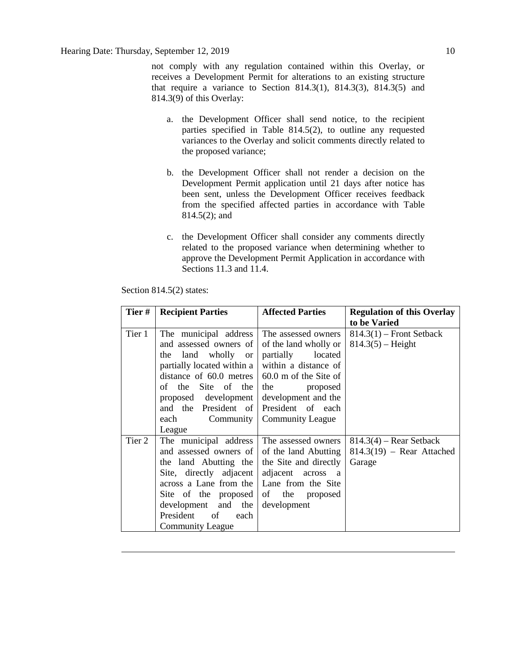not comply with any regulation contained within this Overlay, or receives a Development Permit for alterations to an existing structure that require a variance to Section 814.3(1), 814.3(3), 814.3(5) and 814.3(9) of this Overlay:

- a. the Development Officer shall send notice, to the recipient parties specified in Table 814.5(2), to outline any requested variances to the Overlay and solicit comments directly related to the proposed variance;
- b. the Development Officer shall not render a decision on the Development Permit application until 21 days after notice has been sent, unless the Development Officer receives feedback from the specified affected parties in accordance with Table 814.5(2); and
- c. the Development Officer shall consider any comments directly related to the proposed variance when determining whether to approve the Development Permit Application in accordance with Sections 11.3 and 11.4.

| Tier # | <b>Recipient Parties</b>                                | <b>Affected Parties</b> | <b>Regulation of this Overlay</b> |
|--------|---------------------------------------------------------|-------------------------|-----------------------------------|
|        |                                                         |                         | to be Varied                      |
| Tier 1 | The municipal address                                   | The assessed owners     | $814.3(1)$ – Front Setback        |
|        | and assessed owners of                                  | of the land wholly or   | $814.3(5)$ – Height               |
|        | the land wholly or                                      | partially<br>located    |                                   |
|        | partially located within a                              | within a distance of    |                                   |
|        | distance of $60.0$ metres $\vert 60.0$ m of the Site of |                         |                                   |
|        | of the Site of the                                      | the proposed            |                                   |
|        | proposed development                                    | development and the     |                                   |
|        | and the President of                                    | President of each       |                                   |
|        | Community<br>each                                       | <b>Community League</b> |                                   |
|        | League                                                  |                         |                                   |
| Tier 2 | The municipal address                                   | The assessed owners     | $814.3(4)$ – Rear Setback         |
|        | and assessed owners of of the land Abutting             |                         | $814.3(19)$ – Rear Attached       |
|        | the land Abutting the the Site and directly             |                         | Garage                            |
|        | Site, directly adjacent adjacent across a               |                         |                                   |
|        | across a Lane from the   Lane from the Site             |                         |                                   |
|        | Site of the proposed                                    | of the proposed         |                                   |
|        | development and the                                     | development             |                                   |
|        | President<br>of<br>each                                 |                         |                                   |
|        | <b>Community League</b>                                 |                         |                                   |

Section 814.5(2) states: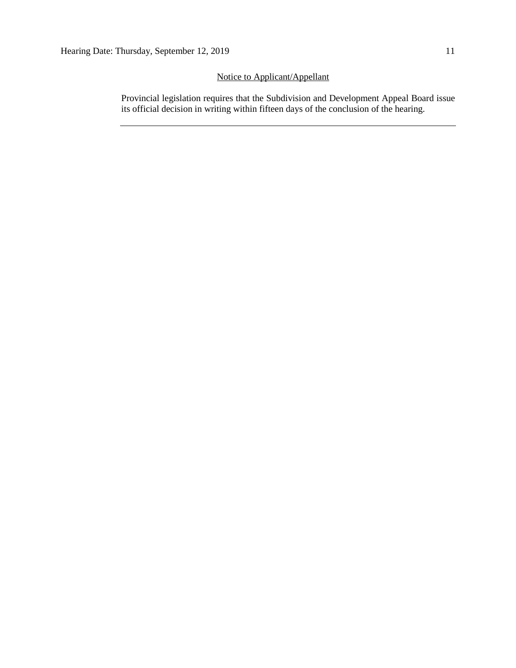## Notice to Applicant/Appellant

Provincial legislation requires that the Subdivision and Development Appeal Board issue its official decision in writing within fifteen days of the conclusion of the hearing.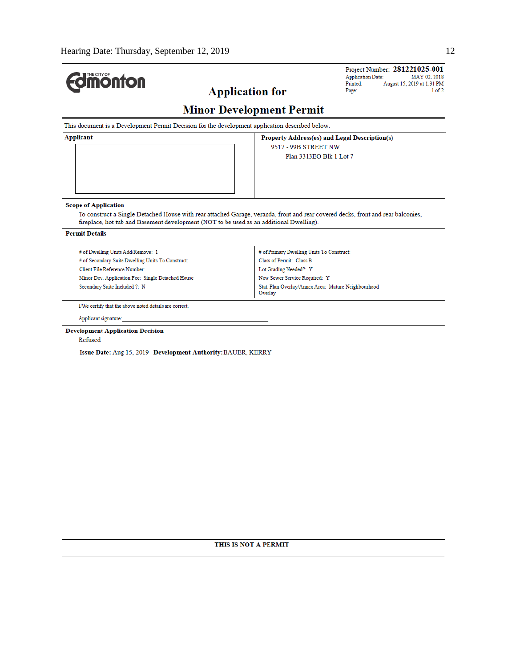$\overline{a}$ 

| <b>Application for</b><br><b>Minor Development Permit</b><br>This document is a Development Permit Decision for the development application described below.<br>Applicant<br>Property Address(es) and Legal Description(s)<br>9517 - 99B STREET NW<br>Plan 3313EO Blk 1 Lot 7<br><b>Scope of Application</b><br>To construct a Single Detached House with rear attached Garage, veranda, front and rear covered decks, front and rear balconies,<br>fireplace, hot tub and Basement development (NOT to be used as an additional Dwelling).<br><b>Permit Details</b><br># of Primary Dwelling Units To Construct:<br># of Dwelling Units Add/Remove: 1<br># of Secondary Suite Dwelling Units To Construct:<br>Class of Permit: Class B<br>Client File Reference Number:<br>Lot Grading Needed?: Y<br>New Sewer Service Required: Y<br>Minor Dev. Application Fee: Single Detached House<br>Stat. Plan Overlay/Annex Area: Mature Neighbourhood<br>Secondary Suite Included ?: N<br>Overlay<br>I/We certify that the above noted details are correct.<br>Applicant signature:<br><b>Development Application Decision</b><br>Refused<br>Issue Date: Aug 15, 2019 Development Authority: BAUER, KERRY<br>THIS IS NOT A PERMIT | <b><i><u><u><b>MONTON</b></u></u></i></b> | Project Number: 281221025-001<br><b>Application Date:</b><br>MAY 02, 2018<br>Printed:<br>August 15, 2019 at 1:31 PM |
|-----------------------------------------------------------------------------------------------------------------------------------------------------------------------------------------------------------------------------------------------------------------------------------------------------------------------------------------------------------------------------------------------------------------------------------------------------------------------------------------------------------------------------------------------------------------------------------------------------------------------------------------------------------------------------------------------------------------------------------------------------------------------------------------------------------------------------------------------------------------------------------------------------------------------------------------------------------------------------------------------------------------------------------------------------------------------------------------------------------------------------------------------------------------------------------------------------------------------------|-------------------------------------------|---------------------------------------------------------------------------------------------------------------------|
|                                                                                                                                                                                                                                                                                                                                                                                                                                                                                                                                                                                                                                                                                                                                                                                                                                                                                                                                                                                                                                                                                                                                                                                                                             |                                           | Page:<br>$1$ of $2$                                                                                                 |
|                                                                                                                                                                                                                                                                                                                                                                                                                                                                                                                                                                                                                                                                                                                                                                                                                                                                                                                                                                                                                                                                                                                                                                                                                             |                                           |                                                                                                                     |
|                                                                                                                                                                                                                                                                                                                                                                                                                                                                                                                                                                                                                                                                                                                                                                                                                                                                                                                                                                                                                                                                                                                                                                                                                             |                                           |                                                                                                                     |
|                                                                                                                                                                                                                                                                                                                                                                                                                                                                                                                                                                                                                                                                                                                                                                                                                                                                                                                                                                                                                                                                                                                                                                                                                             |                                           |                                                                                                                     |
|                                                                                                                                                                                                                                                                                                                                                                                                                                                                                                                                                                                                                                                                                                                                                                                                                                                                                                                                                                                                                                                                                                                                                                                                                             |                                           |                                                                                                                     |
|                                                                                                                                                                                                                                                                                                                                                                                                                                                                                                                                                                                                                                                                                                                                                                                                                                                                                                                                                                                                                                                                                                                                                                                                                             |                                           |                                                                                                                     |
|                                                                                                                                                                                                                                                                                                                                                                                                                                                                                                                                                                                                                                                                                                                                                                                                                                                                                                                                                                                                                                                                                                                                                                                                                             |                                           |                                                                                                                     |
|                                                                                                                                                                                                                                                                                                                                                                                                                                                                                                                                                                                                                                                                                                                                                                                                                                                                                                                                                                                                                                                                                                                                                                                                                             |                                           |                                                                                                                     |
|                                                                                                                                                                                                                                                                                                                                                                                                                                                                                                                                                                                                                                                                                                                                                                                                                                                                                                                                                                                                                                                                                                                                                                                                                             |                                           |                                                                                                                     |
|                                                                                                                                                                                                                                                                                                                                                                                                                                                                                                                                                                                                                                                                                                                                                                                                                                                                                                                                                                                                                                                                                                                                                                                                                             |                                           |                                                                                                                     |
|                                                                                                                                                                                                                                                                                                                                                                                                                                                                                                                                                                                                                                                                                                                                                                                                                                                                                                                                                                                                                                                                                                                                                                                                                             |                                           |                                                                                                                     |
|                                                                                                                                                                                                                                                                                                                                                                                                                                                                                                                                                                                                                                                                                                                                                                                                                                                                                                                                                                                                                                                                                                                                                                                                                             |                                           |                                                                                                                     |
|                                                                                                                                                                                                                                                                                                                                                                                                                                                                                                                                                                                                                                                                                                                                                                                                                                                                                                                                                                                                                                                                                                                                                                                                                             |                                           |                                                                                                                     |
|                                                                                                                                                                                                                                                                                                                                                                                                                                                                                                                                                                                                                                                                                                                                                                                                                                                                                                                                                                                                                                                                                                                                                                                                                             |                                           |                                                                                                                     |
|                                                                                                                                                                                                                                                                                                                                                                                                                                                                                                                                                                                                                                                                                                                                                                                                                                                                                                                                                                                                                                                                                                                                                                                                                             |                                           |                                                                                                                     |
|                                                                                                                                                                                                                                                                                                                                                                                                                                                                                                                                                                                                                                                                                                                                                                                                                                                                                                                                                                                                                                                                                                                                                                                                                             |                                           |                                                                                                                     |
|                                                                                                                                                                                                                                                                                                                                                                                                                                                                                                                                                                                                                                                                                                                                                                                                                                                                                                                                                                                                                                                                                                                                                                                                                             |                                           |                                                                                                                     |
|                                                                                                                                                                                                                                                                                                                                                                                                                                                                                                                                                                                                                                                                                                                                                                                                                                                                                                                                                                                                                                                                                                                                                                                                                             |                                           |                                                                                                                     |
|                                                                                                                                                                                                                                                                                                                                                                                                                                                                                                                                                                                                                                                                                                                                                                                                                                                                                                                                                                                                                                                                                                                                                                                                                             |                                           |                                                                                                                     |
|                                                                                                                                                                                                                                                                                                                                                                                                                                                                                                                                                                                                                                                                                                                                                                                                                                                                                                                                                                                                                                                                                                                                                                                                                             |                                           |                                                                                                                     |
|                                                                                                                                                                                                                                                                                                                                                                                                                                                                                                                                                                                                                                                                                                                                                                                                                                                                                                                                                                                                                                                                                                                                                                                                                             |                                           |                                                                                                                     |
|                                                                                                                                                                                                                                                                                                                                                                                                                                                                                                                                                                                                                                                                                                                                                                                                                                                                                                                                                                                                                                                                                                                                                                                                                             |                                           |                                                                                                                     |
|                                                                                                                                                                                                                                                                                                                                                                                                                                                                                                                                                                                                                                                                                                                                                                                                                                                                                                                                                                                                                                                                                                                                                                                                                             |                                           |                                                                                                                     |
|                                                                                                                                                                                                                                                                                                                                                                                                                                                                                                                                                                                                                                                                                                                                                                                                                                                                                                                                                                                                                                                                                                                                                                                                                             |                                           |                                                                                                                     |
|                                                                                                                                                                                                                                                                                                                                                                                                                                                                                                                                                                                                                                                                                                                                                                                                                                                                                                                                                                                                                                                                                                                                                                                                                             |                                           |                                                                                                                     |
|                                                                                                                                                                                                                                                                                                                                                                                                                                                                                                                                                                                                                                                                                                                                                                                                                                                                                                                                                                                                                                                                                                                                                                                                                             |                                           |                                                                                                                     |
|                                                                                                                                                                                                                                                                                                                                                                                                                                                                                                                                                                                                                                                                                                                                                                                                                                                                                                                                                                                                                                                                                                                                                                                                                             |                                           |                                                                                                                     |
|                                                                                                                                                                                                                                                                                                                                                                                                                                                                                                                                                                                                                                                                                                                                                                                                                                                                                                                                                                                                                                                                                                                                                                                                                             |                                           |                                                                                                                     |
|                                                                                                                                                                                                                                                                                                                                                                                                                                                                                                                                                                                                                                                                                                                                                                                                                                                                                                                                                                                                                                                                                                                                                                                                                             |                                           |                                                                                                                     |
|                                                                                                                                                                                                                                                                                                                                                                                                                                                                                                                                                                                                                                                                                                                                                                                                                                                                                                                                                                                                                                                                                                                                                                                                                             |                                           |                                                                                                                     |
|                                                                                                                                                                                                                                                                                                                                                                                                                                                                                                                                                                                                                                                                                                                                                                                                                                                                                                                                                                                                                                                                                                                                                                                                                             |                                           |                                                                                                                     |
|                                                                                                                                                                                                                                                                                                                                                                                                                                                                                                                                                                                                                                                                                                                                                                                                                                                                                                                                                                                                                                                                                                                                                                                                                             |                                           |                                                                                                                     |
|                                                                                                                                                                                                                                                                                                                                                                                                                                                                                                                                                                                                                                                                                                                                                                                                                                                                                                                                                                                                                                                                                                                                                                                                                             |                                           |                                                                                                                     |
|                                                                                                                                                                                                                                                                                                                                                                                                                                                                                                                                                                                                                                                                                                                                                                                                                                                                                                                                                                                                                                                                                                                                                                                                                             |                                           |                                                                                                                     |
|                                                                                                                                                                                                                                                                                                                                                                                                                                                                                                                                                                                                                                                                                                                                                                                                                                                                                                                                                                                                                                                                                                                                                                                                                             |                                           |                                                                                                                     |
|                                                                                                                                                                                                                                                                                                                                                                                                                                                                                                                                                                                                                                                                                                                                                                                                                                                                                                                                                                                                                                                                                                                                                                                                                             |                                           |                                                                                                                     |
|                                                                                                                                                                                                                                                                                                                                                                                                                                                                                                                                                                                                                                                                                                                                                                                                                                                                                                                                                                                                                                                                                                                                                                                                                             |                                           |                                                                                                                     |
|                                                                                                                                                                                                                                                                                                                                                                                                                                                                                                                                                                                                                                                                                                                                                                                                                                                                                                                                                                                                                                                                                                                                                                                                                             |                                           |                                                                                                                     |
|                                                                                                                                                                                                                                                                                                                                                                                                                                                                                                                                                                                                                                                                                                                                                                                                                                                                                                                                                                                                                                                                                                                                                                                                                             |                                           |                                                                                                                     |
|                                                                                                                                                                                                                                                                                                                                                                                                                                                                                                                                                                                                                                                                                                                                                                                                                                                                                                                                                                                                                                                                                                                                                                                                                             |                                           |                                                                                                                     |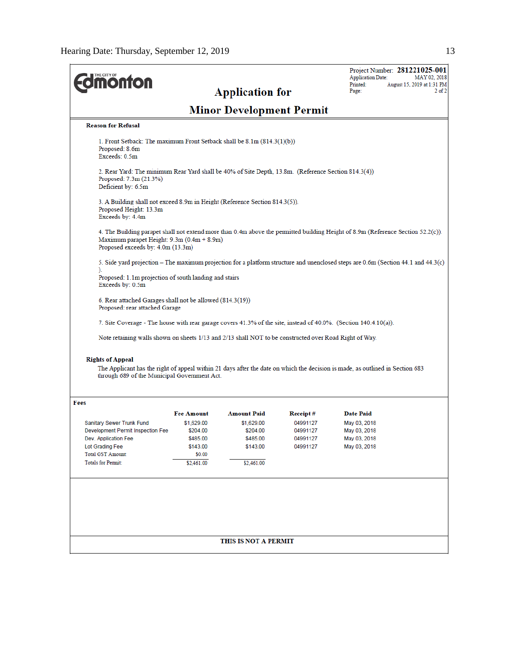| THE CITY OF<br><b>ionfon</b>                                                                                                                                |                                                                                             | <b>Application for</b>                                                             |                                                          | Project Number: 281221025-001<br><b>Application Date:</b><br>MAY 02, 2018<br>Printed:<br>August 15, 2019 at 1:31 PM<br>Page:<br>$2$ of $2$ |
|-------------------------------------------------------------------------------------------------------------------------------------------------------------|---------------------------------------------------------------------------------------------|------------------------------------------------------------------------------------|----------------------------------------------------------|--------------------------------------------------------------------------------------------------------------------------------------------|
|                                                                                                                                                             |                                                                                             | <b>Minor Development Permit</b>                                                    |                                                          |                                                                                                                                            |
| <b>Reason for Refusal</b>                                                                                                                                   |                                                                                             |                                                                                    |                                                          |                                                                                                                                            |
| 1. Front Setback: The maximum Front Setback shall be 8.1m (814.3(1)(b))<br>Proposed: 8.6m<br>Exceeds: 0.5m                                                  |                                                                                             |                                                                                    |                                                          |                                                                                                                                            |
| 2. Rear Yard: The minimum Rear Yard shall be 40% of Site Depth, 13.8m. (Reference Section 814.3(4))<br>Proposed: 7.3m (21.3%)<br>Deficient by: 6.5m         |                                                                                             |                                                                                    |                                                          |                                                                                                                                            |
| 3. A Building shall not exceed 8.9m in Height (Reference Section 814.3(5)).<br>Proposed Height: 13.3m<br>Exceeds by: 4.4m                                   |                                                                                             |                                                                                    |                                                          |                                                                                                                                            |
| Maximum parapet Height: 9.3m (0.4m + 8.9m)<br>Proposed exceeds by: 4.0m (13.3m)                                                                             |                                                                                             |                                                                                    |                                                          | 4. The Building parapet shall not extend more than 0.4m above the permitted building Height of 8.9m (Reference Section 52.2(c)).           |
|                                                                                                                                                             |                                                                                             |                                                                                    |                                                          | 5. Side yard projection – The maximum projection for a platform structure and unenclosed steps are 0.6m (Section 44.1 and 44.3(c)          |
| ).<br>Proposed: 1.1m projection of south landing and stairs<br>Exceeds by: 0.5m                                                                             |                                                                                             |                                                                                    |                                                          |                                                                                                                                            |
| 6. Rear attached Garages shall not be allowed (814.3(19))<br>Proposed: rear attached Garage                                                                 |                                                                                             |                                                                                    |                                                          |                                                                                                                                            |
| 7. Site Coverage - The house with rear garage covers 41.3% of the site, instead of 40.0%. (Section 140.4.10(a)).                                            |                                                                                             |                                                                                    |                                                          |                                                                                                                                            |
| Note retaining walls shown on sheets 1/13 and 2/13 shall NOT to be constructed over Road Right of Way.                                                      |                                                                                             |                                                                                    |                                                          |                                                                                                                                            |
| <b>Rights of Appeal</b><br>through 689 of the Municipal Government Act.                                                                                     |                                                                                             |                                                                                    |                                                          | The Applicant has the right of appeal within 21 days after the date on which the decision is made, as outlined in Section 683              |
| Fees                                                                                                                                                        |                                                                                             |                                                                                    |                                                          |                                                                                                                                            |
| Sanitary Sewer Trunk Fund<br>Development Permit Inspection Fee<br>Dev. Application Fee<br>Lot Grading Fee<br>Total GST Amount:<br><b>Totals for Permit:</b> | <b>Fee Amount</b><br>\$1,629.00<br>\$204.00<br>\$485.00<br>\$143.00<br>\$0.00<br>\$2,461.00 | <b>Amount Paid</b><br>\$1,629.00<br>\$204.00<br>\$485.00<br>\$143.00<br>\$2,461.00 | Receipt#<br>04991127<br>04991127<br>04991127<br>04991127 | <b>Date Paid</b><br>May 03, 2018<br>May 03, 2018<br>May 03, 2018<br>May 03, 2018                                                           |
|                                                                                                                                                             |                                                                                             |                                                                                    |                                                          |                                                                                                                                            |
|                                                                                                                                                             |                                                                                             | THIS IS NOT A PERMIT                                                               |                                                          |                                                                                                                                            |
|                                                                                                                                                             |                                                                                             |                                                                                    |                                                          |                                                                                                                                            |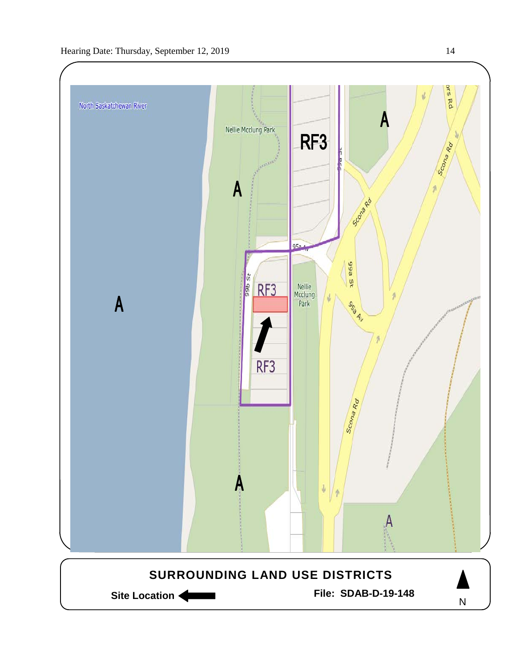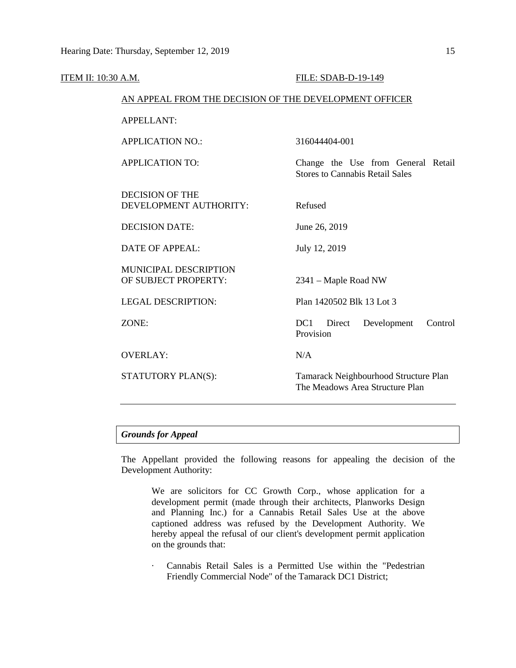| ITEM II: 10:30 A.M. |                                                        | FILE: SDAB-D-19-149                                                          |
|---------------------|--------------------------------------------------------|------------------------------------------------------------------------------|
|                     | AN APPEAL FROM THE DECISION OF THE DEVELOPMENT OFFICER |                                                                              |
|                     | <b>APPELLANT:</b>                                      |                                                                              |
|                     | <b>APPLICATION NO.:</b>                                | 316044404-001                                                                |
|                     | <b>APPLICATION TO:</b>                                 | Change the Use from General Retail<br><b>Stores to Cannabis Retail Sales</b> |
|                     | <b>DECISION OF THE</b><br>DEVELOPMENT AUTHORITY:       | Refused                                                                      |
|                     | <b>DECISION DATE:</b>                                  | June 26, 2019                                                                |
|                     | <b>DATE OF APPEAL:</b>                                 | July 12, 2019                                                                |
|                     | <b>MUNICIPAL DESCRIPTION</b><br>OF SUBJECT PROPERTY:   | 2341 – Maple Road NW                                                         |
|                     | <b>LEGAL DESCRIPTION:</b>                              | Plan 1420502 Blk 13 Lot 3                                                    |
|                     | ZONE:                                                  | DC <sub>1</sub><br>Direct<br>Development<br>Control<br>Provision             |
|                     | <b>OVERLAY:</b>                                        | N/A                                                                          |
|                     | STATUTORY PLAN(S):                                     | Tamarack Neighbourhood Structure Plan<br>The Meadows Area Structure Plan     |
|                     |                                                        |                                                                              |

## *Grounds for Appeal*

The Appellant provided the following reasons for appealing the decision of the Development Authority:

We are solicitors for CC Growth Corp., whose application for a development permit (made through their architects, Planworks Design and Planning Inc.) for a Cannabis Retail Sales Use at the above captioned address was refused by the Development Authority. We hereby appeal the refusal of our client's development permit application on the grounds that:

· Cannabis Retail Sales is a Permitted Use within the "Pedestrian Friendly Commercial Node" of the Tamarack DC1 District;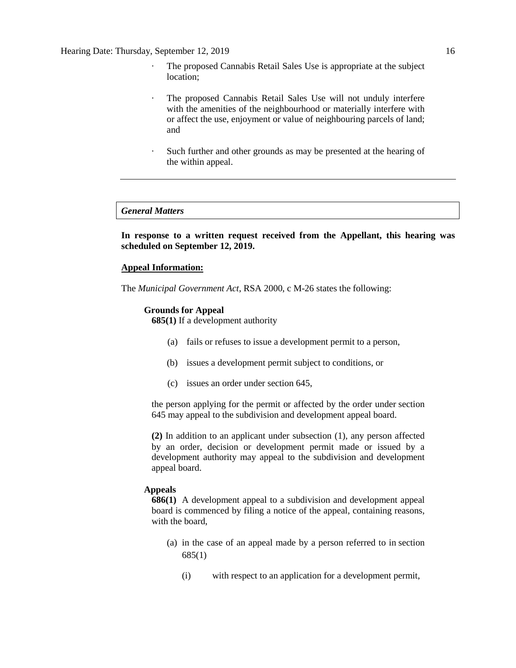- · The proposed Cannabis Retail Sales Use is appropriate at the subject location;
- · The proposed Cannabis Retail Sales Use will not unduly interfere with the amenities of the neighbourhood or materially interfere with or affect the use, enjoyment or value of neighbouring parcels of land; and
- Such further and other grounds as may be presented at the hearing of the within appeal.

## *General Matters*

**In response to a written request received from the Appellant, this hearing was scheduled on September 12, 2019.**

## **Appeal Information:**

The *Municipal Government Act*, RSA 2000, c M-26 states the following:

## **Grounds for Appeal**

**685(1)** If a development authority

- (a) fails or refuses to issue a development permit to a person,
- (b) issues a development permit subject to conditions, or
- (c) issues an order under section 645,

the person applying for the permit or affected by the order under section 645 may appeal to the subdivision and development appeal board.

**(2)** In addition to an applicant under subsection (1), any person affected by an order, decision or development permit made or issued by a development authority may appeal to the subdivision and development appeal board.

## **Appeals**

**686(1)** A development appeal to a subdivision and development appeal board is commenced by filing a notice of the appeal, containing reasons, with the board,

- (a) in the case of an appeal made by a person referred to in section 685(1)
	- (i) with respect to an application for a development permit,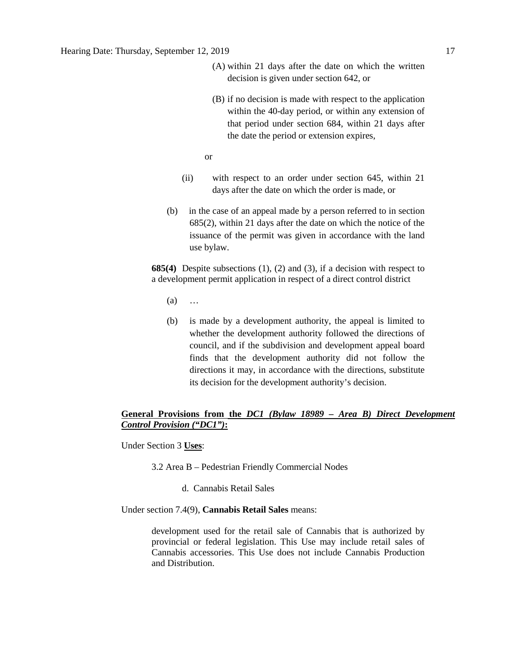- (A) within 21 days after the date on which the written decision is given under section 642, or
- (B) if no decision is made with respect to the application within the 40-day period, or within any extension of that period under section 684, within 21 days after the date the period or extension expires,

or

- (ii) with respect to an order under section 645, within 21 days after the date on which the order is made, or
- (b) in the case of an appeal made by a person referred to in section 685(2), within 21 days after the date on which the notice of the issuance of the permit was given in accordance with the land use bylaw.

**685(4)** Despite subsections (1), (2) and (3), if a decision with respect to a development permit application in respect of a direct control district

- (a) …
- (b) is made by a development authority, the appeal is limited to whether the development authority followed the directions of council, and if the subdivision and development appeal board finds that the development authority did not follow the directions it may, in accordance with the directions, substitute its decision for the development authority's decision.

## **General Provisions from the** *DC1 (Bylaw 18989 – Area B) Direct Development Control Provision ("DC1")***:**

Under Section 3 **Uses**:

- 3.2 Area B Pedestrian Friendly Commercial Nodes
	- d. Cannabis Retail Sales

Under section 7.4(9), **Cannabis Retail Sales** means:

development used for the retail sale of Cannabis that is authorized by provincial or federal legislation. This Use may include retail sales of Cannabis accessories. This Use does not include Cannabis Production and Distribution.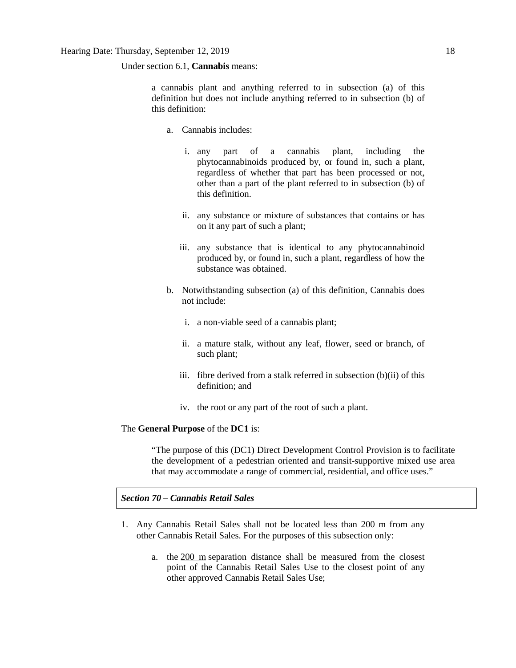Under section 6.1, **Cannabis** means:

a cannabis plant and anything referred to in subsection (a) of this definition but does not include anything referred to in subsection (b) of this definition:

- a. Cannabis includes:
	- i. any part of a cannabis plant, including the phytocannabinoids produced by, or found in, such a plant, regardless of whether that part has been processed or not, other than a part of the plant referred to in subsection (b) of this definition.
	- ii. any substance or mixture of substances that contains or has on it any part of such a plant;
	- iii. any substance that is identical to any phytocannabinoid produced by, or found in, such a plant, regardless of how the substance was obtained.
- b. Notwithstanding subsection (a) of this definition, Cannabis does not include:
	- i. a non-viable seed of a cannabis plant;
	- ii. a mature stalk, without any leaf, flower, seed or branch, of such plant;
	- iii. fibre derived from a stalk referred in subsection (b)(ii) of this definition; and
	- iv. the root or any part of the root of such a plant.

## The **General Purpose** of the **DC1** is:

"The purpose of this (DC1) Direct Development Control Provision is to facilitate the development of a pedestrian oriented and transit-supportive mixed use area that may accommodate a range of commercial, residential, and office uses."

*Section 70 – Cannabis Retail Sales* 

- 1. Any Cannabis Retail Sales shall not be located less than 200 m from any other Cannabis Retail Sales. For the purposes of this subsection only:
	- a. the [200 m](javascript:void(0);) separation distance shall be measured from the closest point of the Cannabis Retail Sales Use to the closest point of any other approved Cannabis Retail Sales Use;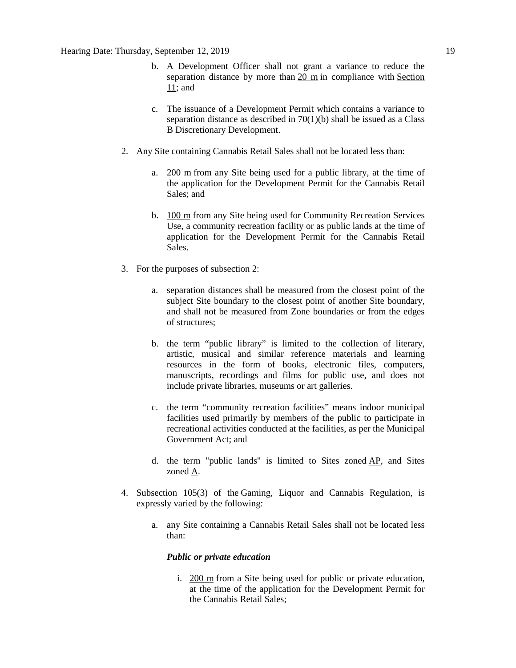- b. A Development Officer shall not grant a variance to reduce the separation distance by more than [20 m](javascript:void(0);) in compliance with [Section](https://webdocs.edmonton.ca/InfraPlan/zoningbylaw/ZoningBylaw/Part1/Administrative/11__Authority_and_Responsibility_of_the_Development_Officer.htm)  [11;](https://webdocs.edmonton.ca/InfraPlan/zoningbylaw/ZoningBylaw/Part1/Administrative/11__Authority_and_Responsibility_of_the_Development_Officer.htm) and
- c. The issuance of a Development Permit which contains a variance to separation distance as described in  $70(1)(b)$  shall be issued as a Class B Discretionary Development.
- 2. Any Site containing Cannabis Retail Sales shall not be located less than:
	- a. [200 m](javascript:void(0);) from any Site being used for a public library, at the time of the application for the Development Permit for the Cannabis Retail Sales; and
	- b. [100 m](javascript:void(0);) from any Site being used for Community Recreation Services Use, a community recreation facility or as public lands at the time of application for the Development Permit for the Cannabis Retail Sales.
- 3. For the purposes of subsection 2:
	- a. separation distances shall be measured from the closest point of the subject Site boundary to the closest point of another Site boundary, and shall not be measured from Zone boundaries or from the edges of structures;
	- b. the term "public library" is limited to the collection of literary, artistic, musical and similar reference materials and learning resources in the form of books, electronic files, computers, manuscripts, recordings and films for public use, and does not include private libraries, museums or art galleries.
	- c. the term "community recreation facilities" means indoor municipal facilities used primarily by members of the public to participate in recreational activities conducted at the facilities, as per the Municipal Government Act; and
	- d. the term "public lands" is limited to Sites zoned [AP,](https://webdocs.edmonton.ca/InfraPlan/zoningbylaw/ZoningBylaw/Part2/Urban/530_(AP)_Public_Parks_Zone.htm) and Sites zoned [A.](https://webdocs.edmonton.ca/InfraPlan/zoningbylaw/ZoningBylaw/Part2/Urban/540_(A)_Metropolitan_Recreation_Zone.htm)
- 4. Subsection 105(3) of the Gaming, Liquor and Cannabis Regulation, is expressly varied by the following:
	- a. any Site containing a Cannabis Retail Sales shall not be located less than:

## *Public or private education*

i. [200 m](javascript:void(0);) from a Site being used for public or private education, at the time of the application for the Development Permit for the Cannabis Retail Sales;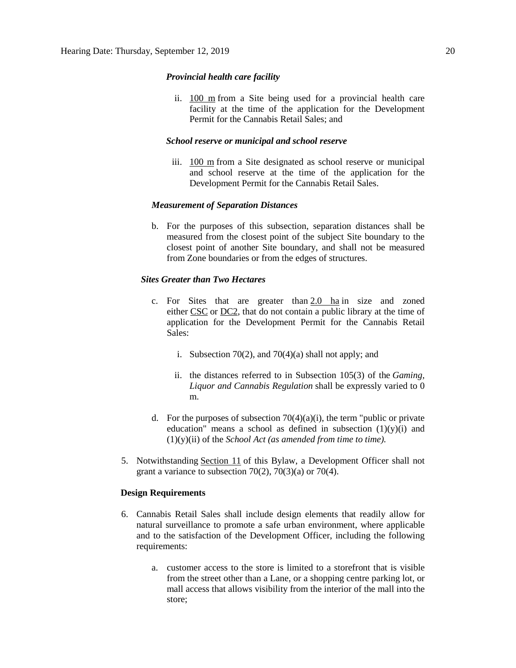## *Provincial health care facility*

ii. [100 m](javascript:void(0);) from a Site being used for a provincial health care facility at the time of the application for the Development Permit for the Cannabis Retail Sales; and

## *School reserve or municipal and school reserve*

iii. [100 m](javascript:void(0);) from a Site designated as school reserve or municipal and school reserve at the time of the application for the Development Permit for the Cannabis Retail Sales.

## *Measurement of Separation Distances*

b. For the purposes of this subsection, separation distances shall be measured from the closest point of the subject Site boundary to the closest point of another Site boundary, and shall not be measured from Zone boundaries or from the edges of structures.

## *Sites Greater than Two Hectares*

- c. For Sites that are greater than  $2.0$  ha in size and zoned either [CSC](https://webdocs.edmonton.ca/InfraPlan/zoningbylaw/ZoningBylaw/Part2/Commercial/320_(CSC)_Shopping_Centre_Zone.htm) or [DC2,](https://webdocs.edmonton.ca/InfraPlan/zoningbylaw/ZoningBylaw/Part2/Direct/720_(DC2)_Site_Specific_Development_Control_Provision.htm) that do not contain a public library at the time of application for the Development Permit for the Cannabis Retail Sales:
	- i. Subsection 70(2), and 70(4)(a) shall not apply; and
	- ii. the distances referred to in Subsection 105(3) of the *Gaming, Liquor and Cannabis Regulation* shall be expressly varied to 0 m.
- d. For the purposes of subsection  $70(4)(a)(i)$ , the term "public or private education" means a school as defined in subsection  $(1)(y)(i)$  and (1)(y)(ii) of the *School Act (as amended from time to time).*
- 5. Notwithstanding [Section 11](https://webdocs.edmonton.ca/InfraPlan/zoningbylaw/ZoningBylaw/Part1/Administrative/11__Authority_and_Responsibility_of_the_Development_Officer.htm) of this Bylaw, a Development Officer shall not grant a variance to subsection  $70(2)$ ,  $70(3)(a)$  or  $70(4)$ .

## **Design Requirements**

- 6. Cannabis Retail Sales shall include design elements that readily allow for natural surveillance to promote a safe urban environment, where applicable and to the satisfaction of the Development Officer, including the following requirements:
	- a. customer access to the store is limited to a storefront that is visible from the street other than a Lane, or a shopping centre parking lot, or mall access that allows visibility from the interior of the mall into the store;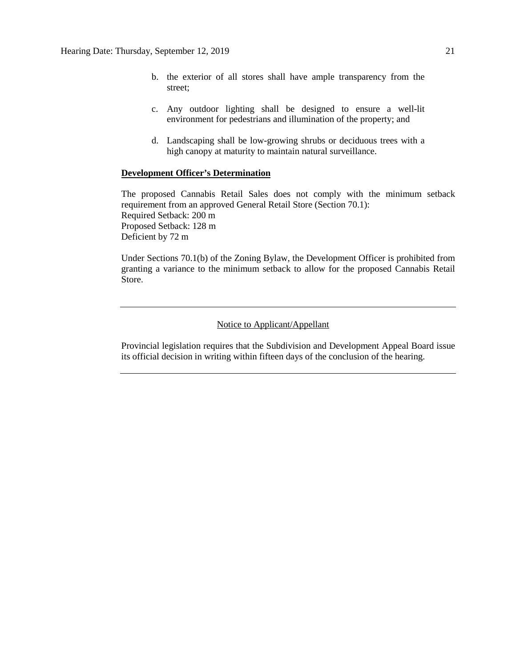- b. the exterior of all stores shall have ample transparency from the street;
- c. Any outdoor lighting shall be designed to ensure a well-lit environment for pedestrians and illumination of the property; and
- d. Landscaping shall be low-growing shrubs or deciduous trees with a high canopy at maturity to maintain natural surveillance.

## **Development Officer's Determination**

The proposed Cannabis Retail Sales does not comply with the minimum setback requirement from an approved General Retail Store (Section 70.1): Required Setback: 200 m Proposed Setback: 128 m Deficient by 72 m

Under Sections 70.1(b) of the Zoning Bylaw, the Development Officer is prohibited from granting a variance to the minimum setback to allow for the proposed Cannabis Retail Store.

## Notice to Applicant/Appellant

Provincial legislation requires that the Subdivision and Development Appeal Board issue its official decision in writing within fifteen days of the conclusion of the hearing.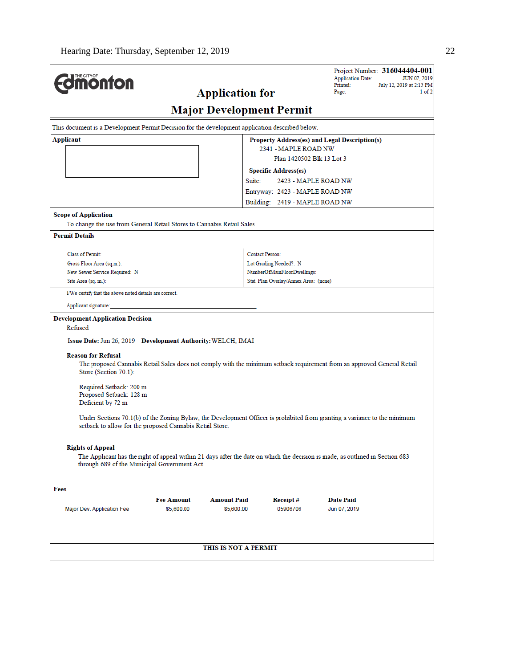|                                                                                                                                                                               |                   |                                 |                        |                                       | <b>Application Date:</b>                      | Project Number: 316044404-001<br>JUN 07, 2019 |
|-------------------------------------------------------------------------------------------------------------------------------------------------------------------------------|-------------------|---------------------------------|------------------------|---------------------------------------|-----------------------------------------------|-----------------------------------------------|
| <b><i><u><u><b>MONTON</b></u></u></i></b>                                                                                                                                     |                   |                                 |                        |                                       | Printed:<br>Page:                             | July 12, 2019 at 2:15 PM<br>1 of 2            |
|                                                                                                                                                                               |                   | <b>Application for</b>          |                        |                                       |                                               |                                               |
|                                                                                                                                                                               |                   | <b>Major Development Permit</b> |                        |                                       |                                               |                                               |
| This document is a Development Permit Decision for the development application described below.                                                                               |                   |                                 |                        |                                       |                                               |                                               |
| Applicant                                                                                                                                                                     |                   |                                 |                        |                                       | Property Address(es) and Legal Description(s) |                                               |
|                                                                                                                                                                               |                   |                                 |                        | 2341 - MAPLE ROAD NW                  |                                               |                                               |
|                                                                                                                                                                               |                   |                                 |                        | Plan 1420502 Blk 13 Lot 3             |                                               |                                               |
|                                                                                                                                                                               |                   |                                 | Suite:                 | <b>Specific Address(es)</b>           | 2423 - MAPLE ROAD NW                          |                                               |
|                                                                                                                                                                               |                   |                                 |                        | Entryway: 2423 - MAPLE ROAD NW        |                                               |                                               |
|                                                                                                                                                                               |                   |                                 |                        | Building: 2419 - MAPLE ROAD NW        |                                               |                                               |
| <b>Scope of Application</b>                                                                                                                                                   |                   |                                 |                        |                                       |                                               |                                               |
| To change the use from General Retail Stores to Cannabis Retail Sales.                                                                                                        |                   |                                 |                        |                                       |                                               |                                               |
| <b>Permit Details</b>                                                                                                                                                         |                   |                                 |                        |                                       |                                               |                                               |
|                                                                                                                                                                               |                   |                                 |                        |                                       |                                               |                                               |
| Class of Permit:<br>Gross Floor Area (sq.m.):                                                                                                                                 |                   |                                 | <b>Contact Person:</b> | Lot Grading Needed?: N                |                                               |                                               |
| New Sewer Service Required: N                                                                                                                                                 |                   |                                 |                        | NumberOfMainFloorDwellings:           |                                               |                                               |
| Site Area (sq. m.):                                                                                                                                                           |                   |                                 |                        | Stat. Plan Overlay/Annex Area: (none) |                                               |                                               |
| I/We certify that the above noted details are correct.                                                                                                                        |                   |                                 |                        |                                       |                                               |                                               |
| Applicant signature:                                                                                                                                                          |                   |                                 |                        |                                       |                                               |                                               |
| <b>Development Application Decision</b>                                                                                                                                       |                   |                                 |                        |                                       |                                               |                                               |
| Refused                                                                                                                                                                       |                   |                                 |                        |                                       |                                               |                                               |
| Issue Date: Jun 26, 2019 Development Authority: WELCH, IMAI                                                                                                                   |                   |                                 |                        |                                       |                                               |                                               |
| <b>Reason for Refusal</b>                                                                                                                                                     |                   |                                 |                        |                                       |                                               |                                               |
| The proposed Cannabis Retail Sales does not comply with the minimum setback requirement from an approved General Retail                                                       |                   |                                 |                        |                                       |                                               |                                               |
| Store (Section 70.1):                                                                                                                                                         |                   |                                 |                        |                                       |                                               |                                               |
| Required Setback: 200 m                                                                                                                                                       |                   |                                 |                        |                                       |                                               |                                               |
| Proposed Setback: 128 m                                                                                                                                                       |                   |                                 |                        |                                       |                                               |                                               |
| Deficient by 72 m                                                                                                                                                             |                   |                                 |                        |                                       |                                               |                                               |
| Under Sections 70.1(b) of the Zoning Bylaw, the Development Officer is prohibited from granting a variance to the minimum                                                     |                   |                                 |                        |                                       |                                               |                                               |
| setback to allow for the proposed Cannabis Retail Store.                                                                                                                      |                   |                                 |                        |                                       |                                               |                                               |
|                                                                                                                                                                               |                   |                                 |                        |                                       |                                               |                                               |
| <b>Rights of Appeal</b>                                                                                                                                                       |                   |                                 |                        |                                       |                                               |                                               |
| The Applicant has the right of appeal within 21 days after the date on which the decision is made, as outlined in Section 683<br>through 689 of the Municipal Government Act. |                   |                                 |                        |                                       |                                               |                                               |
| Fees                                                                                                                                                                          |                   |                                 |                        |                                       |                                               |                                               |
|                                                                                                                                                                               | <b>Fee Amount</b> | <b>Amount Paid</b>              |                        | Receipt#                              | <b>Date Paid</b>                              |                                               |
| Major Dev. Application Fee                                                                                                                                                    | \$5,600.00        | \$5,600.00                      |                        | 05906706                              | Jun 07, 2019                                  |                                               |
|                                                                                                                                                                               |                   |                                 |                        |                                       |                                               |                                               |
|                                                                                                                                                                               |                   |                                 |                        |                                       |                                               |                                               |
|                                                                                                                                                                               |                   |                                 |                        |                                       |                                               |                                               |
|                                                                                                                                                                               |                   | THIS IS NOT A PERMIT            |                        |                                       |                                               |                                               |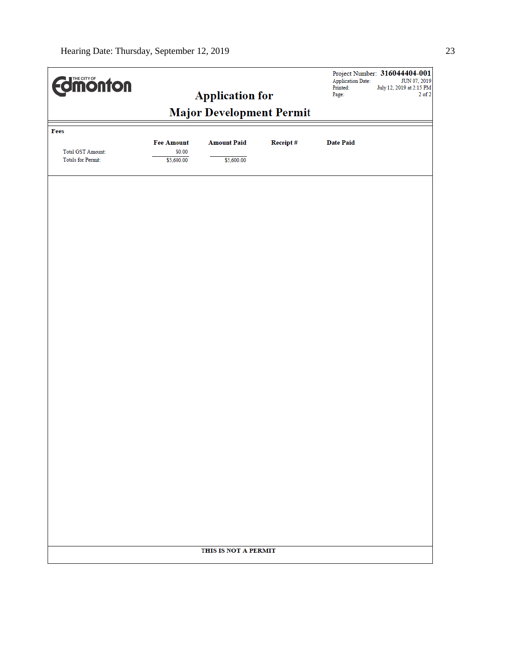| <b>Edinonton</b>         |                                 | <b>Application for</b> |          | Project Number: 316044404-001<br><b>Application Date:</b><br>Printed:<br>Page: | JUN 07, 2019<br>July 12, 2019 at 2:15 PM<br>$2$ of $2\,$ |
|--------------------------|---------------------------------|------------------------|----------|--------------------------------------------------------------------------------|----------------------------------------------------------|
|                          | <b>Major Development Permit</b> |                        |          |                                                                                |                                                          |
| Fees                     | <b>Fee Amount</b>               | <b>Amount Paid</b>     | Receipt# | <b>Date Paid</b>                                                               |                                                          |
| <b>Total GST Amount:</b> | \$0.00                          |                        |          |                                                                                |                                                          |
| Totals for Permit:       | \$5,600.00                      | \$5,600.00             |          |                                                                                |                                                          |
|                          |                                 |                        |          |                                                                                |                                                          |
|                          |                                 |                        |          |                                                                                |                                                          |
|                          |                                 |                        |          |                                                                                |                                                          |
|                          |                                 |                        |          |                                                                                |                                                          |
|                          |                                 |                        |          |                                                                                |                                                          |
|                          |                                 |                        |          |                                                                                |                                                          |
|                          |                                 |                        |          |                                                                                |                                                          |
|                          |                                 |                        |          |                                                                                |                                                          |
|                          |                                 |                        |          |                                                                                |                                                          |
|                          |                                 |                        |          |                                                                                |                                                          |
|                          |                                 |                        |          |                                                                                |                                                          |
|                          |                                 |                        |          |                                                                                |                                                          |
|                          |                                 |                        |          |                                                                                |                                                          |
|                          |                                 |                        |          |                                                                                |                                                          |
|                          |                                 |                        |          |                                                                                |                                                          |
|                          |                                 |                        |          |                                                                                |                                                          |
|                          |                                 |                        |          |                                                                                |                                                          |
|                          |                                 |                        |          |                                                                                |                                                          |
|                          |                                 | THIS IS NOT A PERMIT   |          |                                                                                |                                                          |
|                          |                                 |                        |          |                                                                                |                                                          |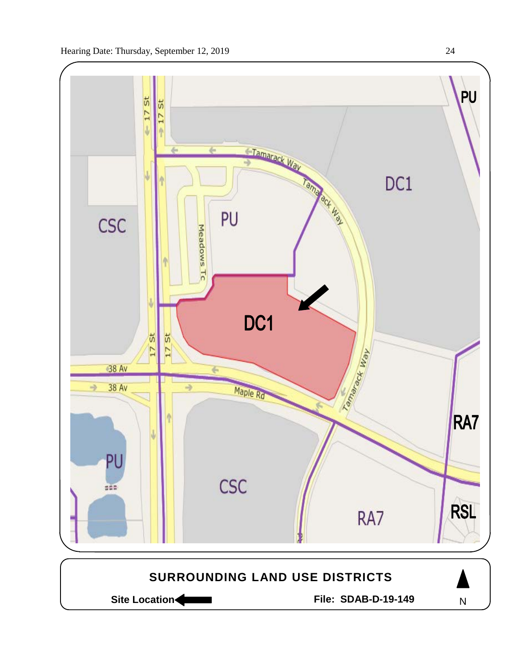

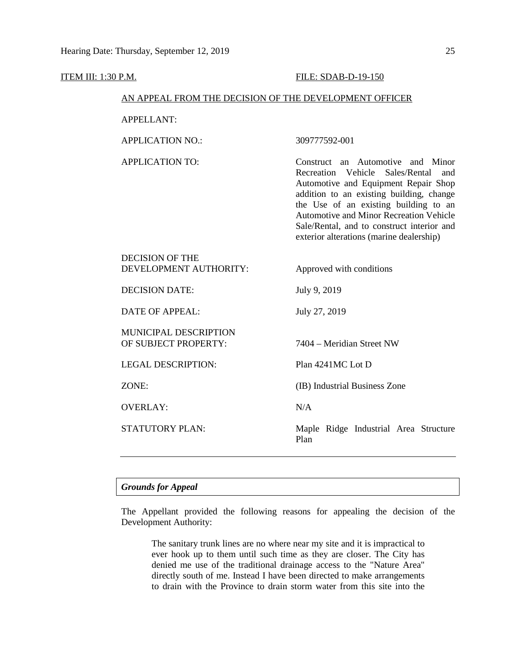## **ITEM III: 1:30 P.M. FILE: SDAB-D-19-150**

## AN APPEAL FROM THE DECISION OF THE DEVELOPMENT OFFICER

APPELLANT:

APPLICATION NO.: 309777592-001

APPLICATION TO: Construct an Automotive and Minor Recreation Vehicle Sales/Rental and Automotive and Equipment Repair Shop addition to an existing building, change the Use of an existing building to an Automotive and Minor Recreation Vehicle Sale/Rental, and to construct interior and exterior alterations (marine dealership)

| DECISION OF THE                                      |                                               |
|------------------------------------------------------|-----------------------------------------------|
| DEVELOPMENT AUTHORITY:                               | Approved with conditions                      |
| <b>DECISION DATE:</b>                                | July 9, 2019                                  |
| <b>DATE OF APPEAL:</b>                               | July 27, 2019                                 |
| <b>MUNICIPAL DESCRIPTION</b><br>OF SUBJECT PROPERTY: | 7404 – Meridian Street NW                     |
| <b>LEGAL DESCRIPTION:</b>                            | Plan 4241MC Lot D                             |
| ZONE:                                                | (IB) Industrial Business Zone                 |
| OVERLAY:                                             | N/A                                           |
| <b>STATUTORY PLAN:</b>                               | Maple Ridge Industrial Area Structure<br>Plan |

## *Grounds for Appeal*

The Appellant provided the following reasons for appealing the decision of the Development Authority:

The sanitary trunk lines are no where near my site and it is impractical to ever hook up to them until such time as they are closer. The City has denied me use of the traditional drainage access to the "Nature Area" directly south of me. Instead I have been directed to make arrangements to drain with the Province to drain storm water from this site into the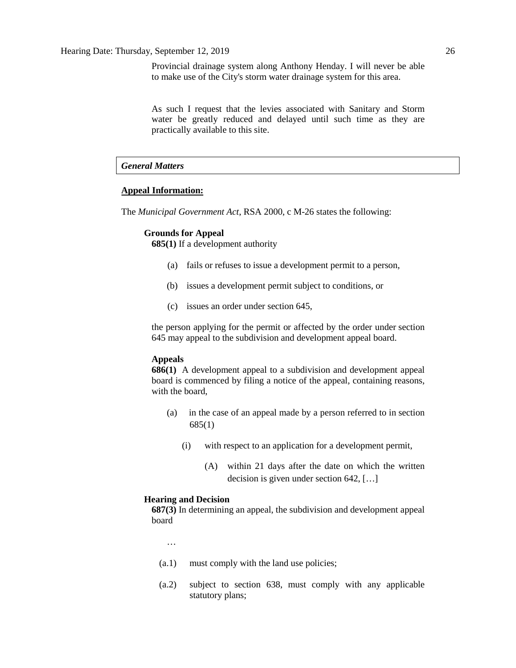Provincial drainage system along Anthony Henday. I will never be able to make use of the City's storm water drainage system for this area.

As such I request that the levies associated with Sanitary and Storm water be greatly reduced and delayed until such time as they are practically available to this site.

## *General Matters*

## **Appeal Information:**

The *Municipal Government Act*, RSA 2000, c M-26 states the following:

## **Grounds for Appeal**

**685(1)** If a development authority

- (a) fails or refuses to issue a development permit to a person,
- (b) issues a development permit subject to conditions, or
- (c) issues an order under section 645,

the person applying for the permit or affected by the order under section 645 may appeal to the subdivision and development appeal board.

## **Appeals**

**686(1)** A development appeal to a subdivision and development appeal board is commenced by filing a notice of the appeal, containing reasons, with the board,

- (a) in the case of an appeal made by a person referred to in section 685(1)
	- (i) with respect to an application for a development permit,
		- (A) within 21 days after the date on which the written decision is given under section 642, […]

#### **Hearing and Decision**

**687(3)** In determining an appeal, the subdivision and development appeal board

…

- (a.1) must comply with the land use policies;
- (a.2) subject to section 638, must comply with any applicable statutory plans;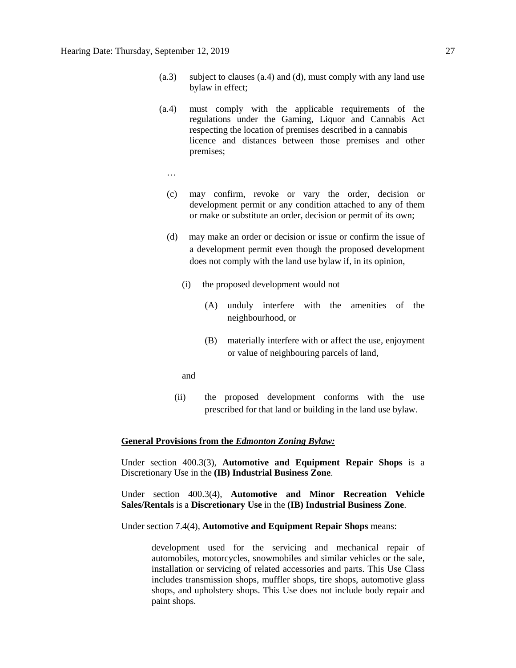- (a.3) subject to clauses (a.4) and (d), must comply with any land use bylaw in effect;
- (a.4) must comply with the applicable requirements of the regulations under the Gaming, Liquor and Cannabis Act respecting the location of premises described in a cannabis licence and distances between those premises and other premises;
	- …
	- (c) may confirm, revoke or vary the order, decision or development permit or any condition attached to any of them or make or substitute an order, decision or permit of its own;
	- (d) may make an order or decision or issue or confirm the issue of a development permit even though the proposed development does not comply with the land use bylaw if, in its opinion,
		- (i) the proposed development would not
			- (A) unduly interfere with the amenities of the neighbourhood, or
			- (B) materially interfere with or affect the use, enjoyment or value of neighbouring parcels of land,
		- and
		- (ii) the proposed development conforms with the use prescribed for that land or building in the land use bylaw.

## **General Provisions from the** *Edmonton Zoning Bylaw:*

Under section 400.3(3), **Automotive and Equipment Repair Shops** is a Discretionary Use in the **(IB) Industrial Business Zone**.

Under section 400.3(4), **Automotive and Minor Recreation Vehicle Sales/Rentals** is a **Discretionary Use** in the **(IB) Industrial Business Zone**.

Under section 7.4(4), **Automotive and Equipment Repair Shops** means:

development used for the servicing and mechanical repair of automobiles, motorcycles, snowmobiles and similar vehicles or the sale, installation or servicing of related accessories and parts. This Use Class includes transmission shops, muffler shops, tire shops, automotive glass shops, and upholstery shops. This Use does not include body repair and paint shops.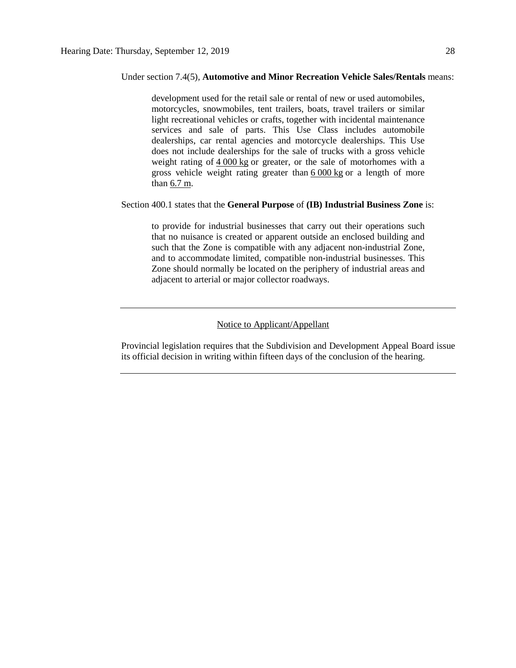#### Under section 7.4(5), **Automotive and Minor Recreation Vehicle Sales/Rentals** means:

development used for the retail sale or rental of new or used automobiles, motorcycles, snowmobiles, tent trailers, boats, travel trailers or similar light recreational vehicles or crafts, together with incidental maintenance services and sale of parts. This Use Class includes automobile dealerships, car rental agencies and motorcycle dealerships. This Use does not include dealerships for the sale of trucks with a gross vehicle weight rating of 4 [000](javascript:void(0);) kg or greater, or the sale of motorhomes with a gross vehicle weight rating greater than 6 [000](javascript:void(0);) kg or a length of more than [6.7](javascript:void(0);) m.

## Section 400.1 states that the **General Purpose** of **(IB) Industrial Business Zone** is:

to provide for industrial businesses that carry out their operations such that no nuisance is created or apparent outside an enclosed building and such that the Zone is compatible with any adjacent non-industrial Zone, and to accommodate limited, compatible non-industrial businesses. This Zone should normally be located on the periphery of industrial areas and adjacent to arterial or major collector roadways.

## Notice to Applicant/Appellant

Provincial legislation requires that the Subdivision and Development Appeal Board issue its official decision in writing within fifteen days of the conclusion of the hearing.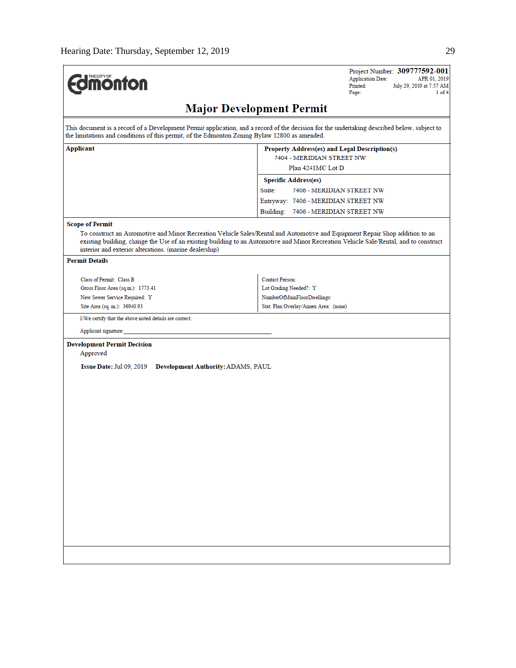$\mathbf{r}$ 

| <b>Imonton</b>                                                                                | Project Number: 309777592-001<br><b>Application Date:</b><br>APR 01, 2019<br>Printed:<br>July 29, 2019 at 7:57 AM<br>Page:<br>$1$ of $4$                                                                                                                              |
|-----------------------------------------------------------------------------------------------|-----------------------------------------------------------------------------------------------------------------------------------------------------------------------------------------------------------------------------------------------------------------------|
|                                                                                               | <b>Major Development Permit</b>                                                                                                                                                                                                                                       |
| the limitations and conditions of this permit, of the Edmonton Zoning Bylaw 12800 as amended. | This document is a record of a Development Permit application, and a record of the decision for the undertaking described below, subject to                                                                                                                           |
| Applicant                                                                                     | Property Address(es) and Legal Description(s)<br>7404 - MERIDIAN STREET NW<br>Plan 4241MC Lot D                                                                                                                                                                       |
|                                                                                               |                                                                                                                                                                                                                                                                       |
|                                                                                               | <b>Specific Address(es)</b><br>Suite:<br>7406 - MERIDIAN STREET NW                                                                                                                                                                                                    |
|                                                                                               | Entryway: 7406 - MERIDIAN STREET NW                                                                                                                                                                                                                                   |
|                                                                                               | Building: 7406 - MERIDIAN STREET NW                                                                                                                                                                                                                                   |
| <b>Scope of Permit</b>                                                                        |                                                                                                                                                                                                                                                                       |
| interior and exterior alterations. (marine dealership)                                        | To construct an Automotive and Minor Recreation Vehicle Sales/Rental and Automotive and Equipment Repair Shop addition to an<br>existing building, change the Use of an existing building to an Automotive and Minor Recreation Vehicle Sale/Rental, and to construct |
| <b>Permit Details</b>                                                                         |                                                                                                                                                                                                                                                                       |
| Class of Permit: Class B                                                                      | <b>Contact Person:</b>                                                                                                                                                                                                                                                |
| Gross Floor Area (sq.m.): 1773.41                                                             | Lot Grading Needed?: Y                                                                                                                                                                                                                                                |
| New Sewer Service Required: Y                                                                 | NumberOfMainFloorDwellings:                                                                                                                                                                                                                                           |
| Site Area (sq. m.): 36940.93                                                                  | Stat. Plan Overlay/Annex Area: (none)                                                                                                                                                                                                                                 |
| I/We certify that the above noted details are correct.                                        |                                                                                                                                                                                                                                                                       |
| Applicant signature:                                                                          |                                                                                                                                                                                                                                                                       |
| <b>Development Permit Decision</b><br>Approved                                                |                                                                                                                                                                                                                                                                       |
| Issue Date: Jul 09, 2019 Development Authority: ADAMS, PAUL                                   |                                                                                                                                                                                                                                                                       |
|                                                                                               |                                                                                                                                                                                                                                                                       |
|                                                                                               |                                                                                                                                                                                                                                                                       |
|                                                                                               |                                                                                                                                                                                                                                                                       |
|                                                                                               |                                                                                                                                                                                                                                                                       |
|                                                                                               |                                                                                                                                                                                                                                                                       |
|                                                                                               |                                                                                                                                                                                                                                                                       |
|                                                                                               |                                                                                                                                                                                                                                                                       |
|                                                                                               |                                                                                                                                                                                                                                                                       |
|                                                                                               |                                                                                                                                                                                                                                                                       |
|                                                                                               |                                                                                                                                                                                                                                                                       |
|                                                                                               |                                                                                                                                                                                                                                                                       |
|                                                                                               |                                                                                                                                                                                                                                                                       |
|                                                                                               |                                                                                                                                                                                                                                                                       |
|                                                                                               |                                                                                                                                                                                                                                                                       |
|                                                                                               |                                                                                                                                                                                                                                                                       |
|                                                                                               |                                                                                                                                                                                                                                                                       |
|                                                                                               |                                                                                                                                                                                                                                                                       |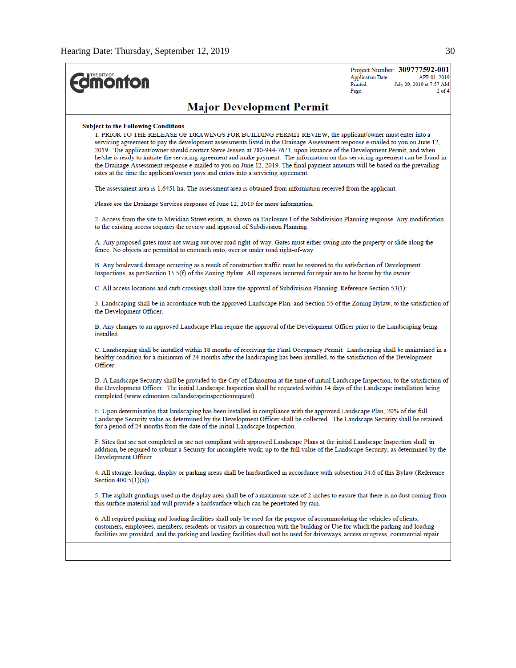| <b>monton</b>                                                                                                                                                                                                                                                                                                                                                                                                                                                                                                                                                                                                                                                                                                                                                              | Project Number: 309777592-001<br><b>Application Date:</b><br>APR 01, 2019<br>July 29, 2019 at 7:57 AM<br>Printed:<br>$2$ of $4$<br>Page: |
|----------------------------------------------------------------------------------------------------------------------------------------------------------------------------------------------------------------------------------------------------------------------------------------------------------------------------------------------------------------------------------------------------------------------------------------------------------------------------------------------------------------------------------------------------------------------------------------------------------------------------------------------------------------------------------------------------------------------------------------------------------------------------|------------------------------------------------------------------------------------------------------------------------------------------|
| <b>Major Development Permit</b>                                                                                                                                                                                                                                                                                                                                                                                                                                                                                                                                                                                                                                                                                                                                            |                                                                                                                                          |
| <b>Subject to the Following Conditions</b><br>1. PRIOR TO THE RELEASE OF DRAWINGS FOR BUILDING PERMIT REVIEW, the applicant/owner must enter into a<br>servicing agreement to pay the development assessments listed in the Drainage Assessment response e-mailed to you on June 12,<br>2019. The applicant/owner should contact Steve Jensen at 780-944-7673, upon issuance of the Development Permit, and when<br>he/she is ready to initiate the servicing agreement and make payment. The information on this servicing agreement can be found in<br>the Drainage Assessment response e-mailed to you on June 12, 2019. The final payment amounts will be based on the prevailing<br>rates at the time the applicant/owner pays and enters into a servicing agreement. |                                                                                                                                          |
| The assessment area is 1.6451 ha. The assessment area is obtained from information received from the applicant.                                                                                                                                                                                                                                                                                                                                                                                                                                                                                                                                                                                                                                                            |                                                                                                                                          |
| Please see the Drainage Services response of June 12, 2019 for more information.                                                                                                                                                                                                                                                                                                                                                                                                                                                                                                                                                                                                                                                                                           |                                                                                                                                          |
| 2. Access from the site to Meridian Street exists, as shown on Enclosure I of the Subdivision Planning response. Any modification<br>to the existing access requires the review and approval of Subdivision Planning.                                                                                                                                                                                                                                                                                                                                                                                                                                                                                                                                                      |                                                                                                                                          |
| A. Any proposed gates must not swing out over road right-of-way. Gates must either swing into the property or slide along the<br>fence. No objects are permitted to encroach onto, over or under road right-of-way.                                                                                                                                                                                                                                                                                                                                                                                                                                                                                                                                                        |                                                                                                                                          |
| B. Any boulevard damage occurring as a result of construction traffic must be restored to the satisfaction of Development<br>Inspections, as per Section $15.5(f)$ of the Zoning Bylaw. All expenses incurred for repair are to be borne by the owner.                                                                                                                                                                                                                                                                                                                                                                                                                                                                                                                     |                                                                                                                                          |
| C. All access locations and curb crossings shall have the approval of Subdivision Planning. Reference Section 53(1):                                                                                                                                                                                                                                                                                                                                                                                                                                                                                                                                                                                                                                                       |                                                                                                                                          |
| 3. Landscaping shall be in accordance with the approved Landscape Plan, and Section 55 of the Zoning Bylaw, to the satisfaction of<br>the Development Officer.                                                                                                                                                                                                                                                                                                                                                                                                                                                                                                                                                                                                             |                                                                                                                                          |
| B. Any changes to an approved Landscape Plan require the approval of the Development Officer prior to the Landscaping being<br>installed                                                                                                                                                                                                                                                                                                                                                                                                                                                                                                                                                                                                                                   |                                                                                                                                          |
| C. Landscaping shall be installed within 18 months of receiving the Final Occupancy Permit. Landscaping shall be maintained in a<br>healthy condition for a minimum of 24 months after the landscaping has been installed, to the satisfaction of the Development<br>Officer.                                                                                                                                                                                                                                                                                                                                                                                                                                                                                              |                                                                                                                                          |
| D. A Landscape Security shall be provided to the City of Edmonton at the time of initial Landscape Inspection, to the satisfaction of<br>the Development Officer. The initial Landscape Inspection shall be requested within 14 days of the Landscape installation being<br>completed (www.edmonton.ca/landscapeinspectionrequest).                                                                                                                                                                                                                                                                                                                                                                                                                                        |                                                                                                                                          |
| E. Upon determination that landscaping has been installed in compliance with the approved Landscape Plan, 20% of the full<br>Landscape Security value as determined by the Development Officer shall be collected. The Landscape Security shall be retained<br>for a period of 24 months from the date of the initial Landscape Inspection.                                                                                                                                                                                                                                                                                                                                                                                                                                |                                                                                                                                          |
| F. Sites that are not completed or are not compliant with approved Landscape Plans at the initial Landscape Inspection shall, in<br>addition, be required to submit a Security for incomplete work; up to the full value of the Landscape Security, as determined by the<br>Development Officer.                                                                                                                                                                                                                                                                                                                                                                                                                                                                           |                                                                                                                                          |
| 4. All storage, loading, display or parking areas shall be hardsurfaced in accordance with subsection 54.6 of this Bylaw (Reference<br>Section $400.5(1)(a)$                                                                                                                                                                                                                                                                                                                                                                                                                                                                                                                                                                                                               |                                                                                                                                          |
| 5. The asphalt grindings used in the display area shall be of a maximum size of 2 inches to ensure that there is no dust coming from<br>this surface material and will provide a hardsurface which can be penetrated by rain.                                                                                                                                                                                                                                                                                                                                                                                                                                                                                                                                              |                                                                                                                                          |
| 6. All required parking and loading facilities shall only be used for the purpose of accommodating the vehicles of clients,<br>customers, employees, members, residents or visitors in connection with the building or Use for which the parking and loading<br>facilities are provided, and the parking and loading facilities shall not be used for driveways, access or egress, commercial repair                                                                                                                                                                                                                                                                                                                                                                       |                                                                                                                                          |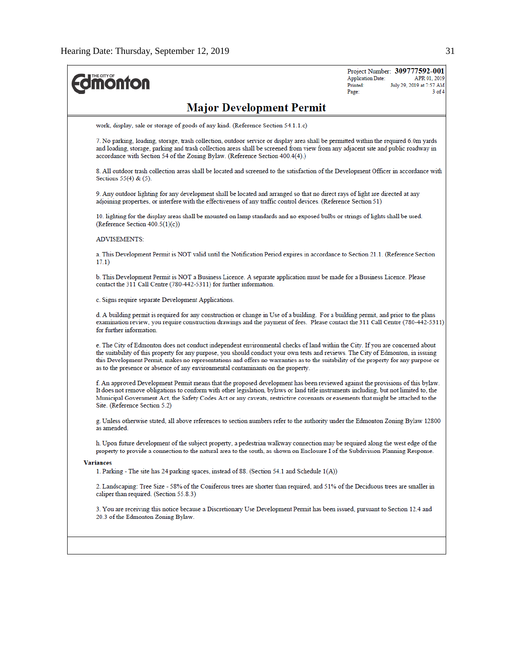| <b>monton</b>                                                                                                                                                                                                                                                                                                                                                                                                                                                                                 | Project Number: 309777592-001<br>APR 01, 2019<br><b>Application Date:</b><br>Printed:<br>July 29, 2019 at 7:57 AM<br>$3$ of 4<br>Page: |
|-----------------------------------------------------------------------------------------------------------------------------------------------------------------------------------------------------------------------------------------------------------------------------------------------------------------------------------------------------------------------------------------------------------------------------------------------------------------------------------------------|----------------------------------------------------------------------------------------------------------------------------------------|
| <b>Major Development Permit</b>                                                                                                                                                                                                                                                                                                                                                                                                                                                               |                                                                                                                                        |
| work, display, sale or storage of goods of any kind. (Reference Section 54.1.1.c)                                                                                                                                                                                                                                                                                                                                                                                                             |                                                                                                                                        |
| 7. No parking, loading, storage, trash collection, outdoor service or display area shall be permitted within the required 6.0m yards<br>and loading, storage, parking and trash collection areas shall be screened from view from any adjacent site and public roadway in<br>accordance with Section 54 of the Zoning Bylaw. (Reference Section 400.4(4).)                                                                                                                                    |                                                                                                                                        |
| 8. All outdoor trash collection areas shall be located and screened to the satisfaction of the Development Officer in accordance with<br>Sections $55(4)$ & $(5)$ .                                                                                                                                                                                                                                                                                                                           |                                                                                                                                        |
| 9. Any outdoor lighting for any development shall be located and arranged so that no direct rays of light are directed at any<br>adjoining properties, or interfere with the effectiveness of any traffic control devices. (Reference Section 51)                                                                                                                                                                                                                                             |                                                                                                                                        |
| 10. lighting for the display areas shall be mounted on lamp standards and no exposed bulbs or strings of lights shall be used.<br>(Reference Section $400.5(1)(c)$ )                                                                                                                                                                                                                                                                                                                          |                                                                                                                                        |
| <b>ADVISEMENTS:</b>                                                                                                                                                                                                                                                                                                                                                                                                                                                                           |                                                                                                                                        |
| a. This Development Permit is NOT valid until the Notification Period expires in accordance to Section 21.1. (Reference Section<br>17.1)                                                                                                                                                                                                                                                                                                                                                      |                                                                                                                                        |
| b. This Development Permit is NOT a Business Licence. A separate application must be made for a Business Licence. Please<br>contact the 311 Call Centre (780-442-5311) for further information.                                                                                                                                                                                                                                                                                               |                                                                                                                                        |
| c. Signs require separate Development Applications.                                                                                                                                                                                                                                                                                                                                                                                                                                           |                                                                                                                                        |
| d. A building permit is required for any construction or change in Use of a building. For a building permit, and prior to the plans<br>examination review, you require construction drawings and the payment of fees. Please contact the 311 Call Centre (780-442-5311)<br>for further information.                                                                                                                                                                                           |                                                                                                                                        |
| e. The City of Edmonton does not conduct independent environmental checks of land within the City. If you are concerned about<br>the suitability of this property for any purpose, you should conduct your own tests and reviews. The City of Edmonton, in issuing<br>this Development Permit, makes no representations and offers no warranties as to the suitability of the property for any purpose or<br>as to the presence or absence of any environmental contaminants on the property. |                                                                                                                                        |
| f. An approved Development Permit means that the proposed development has been reviewed against the provisions of this bylaw.<br>It does not remove obligations to conform with other legislation, bylaws or land title instruments including, but not limited to, the<br>Municipal Government Act, the Safety Codes Act or any caveats, restrictive covenants or easements that might be attached to the<br>Site. (Reference Section 5.2)                                                    |                                                                                                                                        |
| g. Unless otherwise stated, all above references to section numbers refer to the authority under the Edmonton Zoning Bylaw 12800<br>as amended.                                                                                                                                                                                                                                                                                                                                               |                                                                                                                                        |
| h. Upon future development of the subject property, a pedestrian walkway connection may be required along the west edge of the<br>property to provide a connection to the natural area to the south, as shown on Enclosure I of the Subdivision Planning Response.                                                                                                                                                                                                                            |                                                                                                                                        |
| <b>Variances</b>                                                                                                                                                                                                                                                                                                                                                                                                                                                                              |                                                                                                                                        |
| 1. Parking - The site has 24 parking spaces, instead of 88. (Section 54.1 and Schedule $1(A)$ )                                                                                                                                                                                                                                                                                                                                                                                               |                                                                                                                                        |
| 2. Landscaping: Tree Size - 58% of the Coniferous trees are shorter than required, and 51% of the Deciduous trees are smaller in<br>caliper than required. (Section 55.8.3)                                                                                                                                                                                                                                                                                                                   |                                                                                                                                        |
| 3. You are receiving this notice because a Discretionary Use Development Permit has been issued, pursuant to Section 12.4 and<br>20.3 of the Edmonton Zoning Bylaw.                                                                                                                                                                                                                                                                                                                           |                                                                                                                                        |
|                                                                                                                                                                                                                                                                                                                                                                                                                                                                                               |                                                                                                                                        |
|                                                                                                                                                                                                                                                                                                                                                                                                                                                                                               |                                                                                                                                        |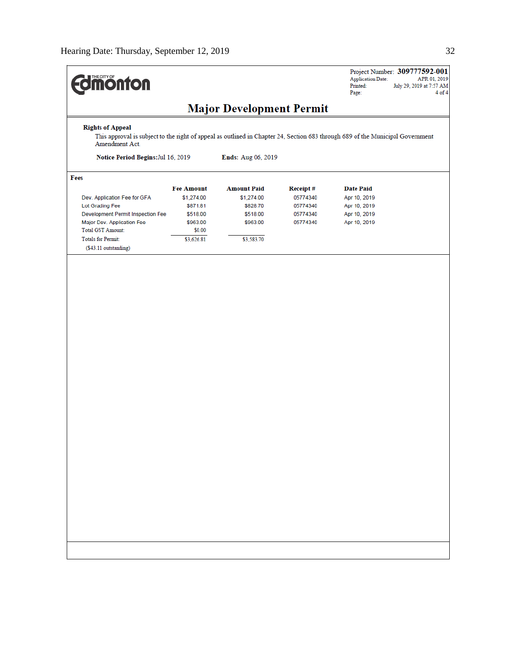| <b>dimonton</b>                                                                                                                                                                        |                                                                                             |                                                                                    |                                                          | <b>Application Date:</b><br>Printed:<br>Page:                                    | Project Number: 309777592-001<br>APR 01, 2019<br>July 29, 2019 at 7:57 AM<br>4 of 4 |  |  |
|----------------------------------------------------------------------------------------------------------------------------------------------------------------------------------------|---------------------------------------------------------------------------------------------|------------------------------------------------------------------------------------|----------------------------------------------------------|----------------------------------------------------------------------------------|-------------------------------------------------------------------------------------|--|--|
| <b>Major Development Permit</b>                                                                                                                                                        |                                                                                             |                                                                                    |                                                          |                                                                                  |                                                                                     |  |  |
| <b>Rights of Appeal</b><br>This approval is subject to the right of appeal as outlined in Chapter 24, Section 683 through 689 of the Municipal Government<br>Amendment Act.            |                                                                                             |                                                                                    |                                                          |                                                                                  |                                                                                     |  |  |
| Notice Period Begins: Jul 16, 2019                                                                                                                                                     |                                                                                             | Ends: Aug 06, 2019                                                                 |                                                          |                                                                                  |                                                                                     |  |  |
| Fees                                                                                                                                                                                   |                                                                                             |                                                                                    |                                                          |                                                                                  |                                                                                     |  |  |
| Dev. Application Fee for GFA<br>Lot Grading Fee<br>Development Permit Inspection Fee<br>Major Dev. Application Fee<br>Total GST Amount:<br>Totals for Permit:<br>(\$43.11 outstanding) | <b>Fee Amount</b><br>\$1,274.00<br>\$871.81<br>\$518.00<br>\$963.00<br>\$0.00<br>\$3,626.81 | <b>Amount Paid</b><br>\$1,274.00<br>\$828.70<br>\$518.00<br>\$963.00<br>\$3,583.70 | Receipt#<br>05774340<br>05774340<br>05774340<br>05774340 | <b>Date Paid</b><br>Apr 10, 2019<br>Apr 10, 2019<br>Apr 10, 2019<br>Apr 10, 2019 |                                                                                     |  |  |
|                                                                                                                                                                                        |                                                                                             |                                                                                    |                                                          |                                                                                  |                                                                                     |  |  |
|                                                                                                                                                                                        |                                                                                             |                                                                                    |                                                          |                                                                                  |                                                                                     |  |  |
|                                                                                                                                                                                        |                                                                                             |                                                                                    |                                                          |                                                                                  |                                                                                     |  |  |
|                                                                                                                                                                                        |                                                                                             |                                                                                    |                                                          |                                                                                  |                                                                                     |  |  |